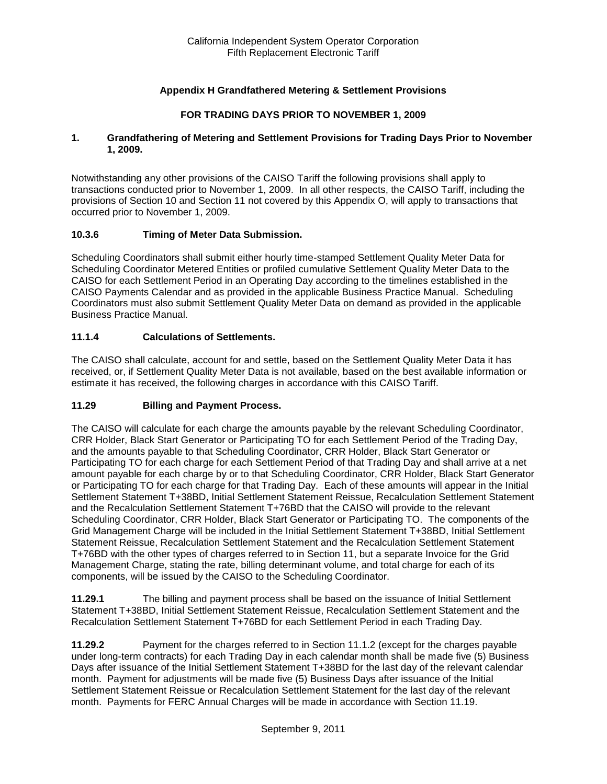# **Appendix H Grandfathered Metering & Settlement Provisions**

## **FOR TRADING DAYS PRIOR TO NOVEMBER 1, 2009**

### **1. Grandfathering of Metering and Settlement Provisions for Trading Days Prior to November 1, 2009.**

Notwithstanding any other provisions of the CAISO Tariff the following provisions shall apply to transactions conducted prior to November 1, 2009. In all other respects, the CAISO Tariff, including the provisions of Section 10 and Section 11 not covered by this Appendix O, will apply to transactions that occurred prior to November 1, 2009.

### **10.3.6 Timing of Meter Data Submission.**

Scheduling Coordinators shall submit either hourly time-stamped Settlement Quality Meter Data for Scheduling Coordinator Metered Entities or profiled cumulative Settlement Quality Meter Data to the CAISO for each Settlement Period in an Operating Day according to the timelines established in the CAISO Payments Calendar and as provided in the applicable Business Practice Manual. Scheduling Coordinators must also submit Settlement Quality Meter Data on demand as provided in the applicable Business Practice Manual.

### **11.1.4 Calculations of Settlements.**

The CAISO shall calculate, account for and settle, based on the Settlement Quality Meter Data it has received, or, if Settlement Quality Meter Data is not available, based on the best available information or estimate it has received, the following charges in accordance with this CAISO Tariff.

### **11.29 Billing and Payment Process.**

The CAISO will calculate for each charge the amounts payable by the relevant Scheduling Coordinator, CRR Holder, Black Start Generator or Participating TO for each Settlement Period of the Trading Day, and the amounts payable to that Scheduling Coordinator, CRR Holder, Black Start Generator or Participating TO for each charge for each Settlement Period of that Trading Day and shall arrive at a net amount payable for each charge by or to that Scheduling Coordinator, CRR Holder, Black Start Generator or Participating TO for each charge for that Trading Day. Each of these amounts will appear in the Initial Settlement Statement T+38BD, Initial Settlement Statement Reissue, Recalculation Settlement Statement and the Recalculation Settlement Statement T+76BD that the CAISO will provide to the relevant Scheduling Coordinator, CRR Holder, Black Start Generator or Participating TO. The components of the Grid Management Charge will be included in the Initial Settlement Statement T+38BD, Initial Settlement Statement Reissue, Recalculation Settlement Statement and the Recalculation Settlement Statement T+76BD with the other types of charges referred to in Section 11, but a separate Invoice for the Grid Management Charge, stating the rate, billing determinant volume, and total charge for each of its components, will be issued by the CAISO to the Scheduling Coordinator.

**11.29.1** The billing and payment process shall be based on the issuance of Initial Settlement Statement T+38BD, Initial Settlement Statement Reissue, Recalculation Settlement Statement and the Recalculation Settlement Statement T+76BD for each Settlement Period in each Trading Day.

**11.29.2** Payment for the charges referred to in Section 11.1.2 (except for the charges payable under long-term contracts) for each Trading Day in each calendar month shall be made five (5) Business Days after issuance of the Initial Settlement Statement T+38BD for the last day of the relevant calendar month. Payment for adjustments will be made five (5) Business Days after issuance of the Initial Settlement Statement Reissue or Recalculation Settlement Statement for the last day of the relevant month. Payments for FERC Annual Charges will be made in accordance with Section 11.19.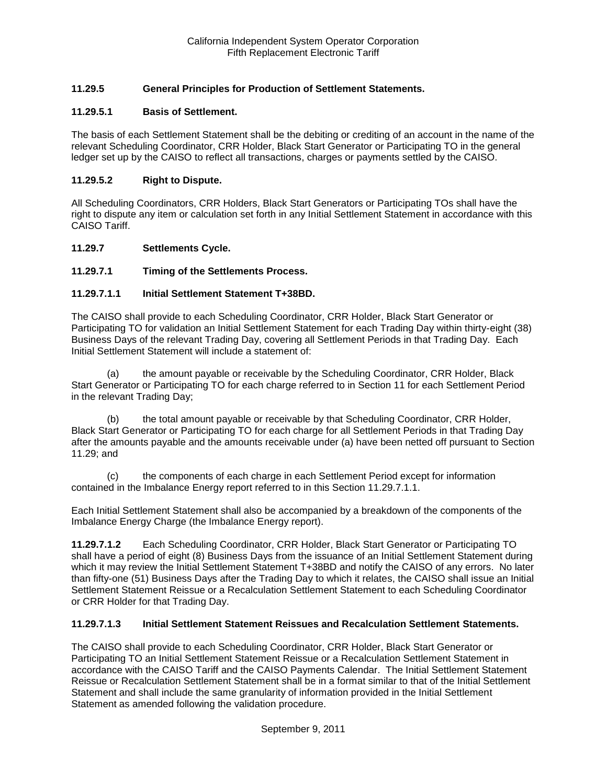# **11.29.5 General Principles for Production of Settlement Statements.**

### **11.29.5.1 Basis of Settlement.**

The basis of each Settlement Statement shall be the debiting or crediting of an account in the name of the relevant Scheduling Coordinator, CRR Holder, Black Start Generator or Participating TO in the general ledger set up by the CAISO to reflect all transactions, charges or payments settled by the CAISO.

### **11.29.5.2 Right to Dispute.**

All Scheduling Coordinators, CRR Holders, Black Start Generators or Participating TOs shall have the right to dispute any item or calculation set forth in any Initial Settlement Statement in accordance with this CAISO Tariff.

#### **11.29.7 Settlements Cycle.**

### **11.29.7.1 Timing of the Settlements Process.**

#### **11.29.7.1.1 Initial Settlement Statement T+38BD.**

The CAISO shall provide to each Scheduling Coordinator, CRR Holder, Black Start Generator or Participating TO for validation an Initial Settlement Statement for each Trading Day within thirty-eight (38) Business Days of the relevant Trading Day, covering all Settlement Periods in that Trading Day. Each Initial Settlement Statement will include a statement of:

(a) the amount payable or receivable by the Scheduling Coordinator, CRR Holder, Black Start Generator or Participating TO for each charge referred to in Section 11 for each Settlement Period in the relevant Trading Day;

(b) the total amount payable or receivable by that Scheduling Coordinator, CRR Holder, Black Start Generator or Participating TO for each charge for all Settlement Periods in that Trading Day after the amounts payable and the amounts receivable under (a) have been netted off pursuant to Section 11.29; and

(c) the components of each charge in each Settlement Period except for information contained in the Imbalance Energy report referred to in this Section 11.29.7.1.1.

Each Initial Settlement Statement shall also be accompanied by a breakdown of the components of the Imbalance Energy Charge (the Imbalance Energy report).

**11.29.7.1.2** Each Scheduling Coordinator, CRR Holder, Black Start Generator or Participating TO shall have a period of eight (8) Business Days from the issuance of an Initial Settlement Statement during which it may review the Initial Settlement Statement T+38BD and notify the CAISO of any errors. No later than fifty-one (51) Business Days after the Trading Day to which it relates, the CAISO shall issue an Initial Settlement Statement Reissue or a Recalculation Settlement Statement to each Scheduling Coordinator or CRR Holder for that Trading Day.

#### **11.29.7.1.3 Initial Settlement Statement Reissues and Recalculation Settlement Statements.**

The CAISO shall provide to each Scheduling Coordinator, CRR Holder, Black Start Generator or Participating TO an Initial Settlement Statement Reissue or a Recalculation Settlement Statement in accordance with the CAISO Tariff and the CAISO Payments Calendar. The Initial Settlement Statement Reissue or Recalculation Settlement Statement shall be in a format similar to that of the Initial Settlement Statement and shall include the same granularity of information provided in the Initial Settlement Statement as amended following the validation procedure.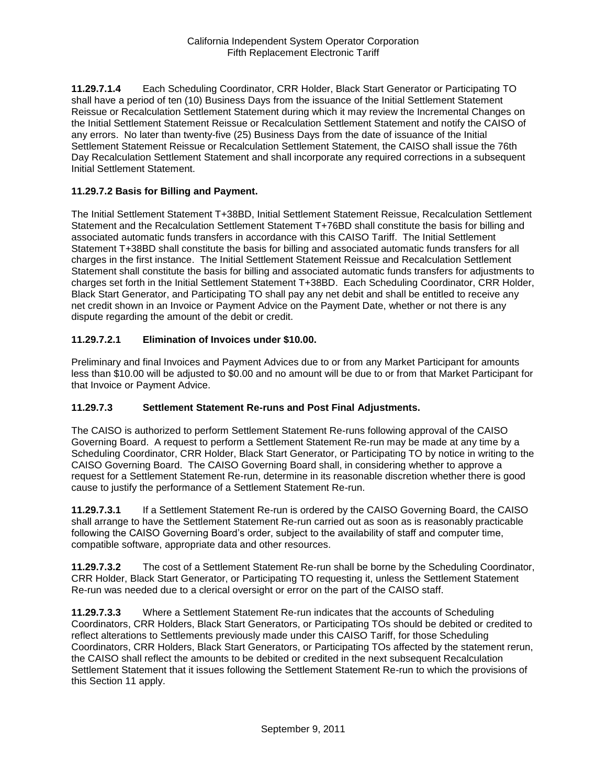**11.29.7.1.4** Each Scheduling Coordinator, CRR Holder, Black Start Generator or Participating TO shall have a period of ten (10) Business Days from the issuance of the Initial Settlement Statement Reissue or Recalculation Settlement Statement during which it may review the Incremental Changes on the Initial Settlement Statement Reissue or Recalculation Settlement Statement and notify the CAISO of any errors. No later than twenty-five (25) Business Days from the date of issuance of the Initial Settlement Statement Reissue or Recalculation Settlement Statement, the CAISO shall issue the 76th Day Recalculation Settlement Statement and shall incorporate any required corrections in a subsequent Initial Settlement Statement.

## **11.29.7.2 Basis for Billing and Payment.**

The Initial Settlement Statement T+38BD, Initial Settlement Statement Reissue, Recalculation Settlement Statement and the Recalculation Settlement Statement T+76BD shall constitute the basis for billing and associated automatic funds transfers in accordance with this CAISO Tariff. The Initial Settlement Statement T+38BD shall constitute the basis for billing and associated automatic funds transfers for all charges in the first instance. The Initial Settlement Statement Reissue and Recalculation Settlement Statement shall constitute the basis for billing and associated automatic funds transfers for adjustments to charges set forth in the Initial Settlement Statement T+38BD. Each Scheduling Coordinator, CRR Holder, Black Start Generator, and Participating TO shall pay any net debit and shall be entitled to receive any net credit shown in an Invoice or Payment Advice on the Payment Date, whether or not there is any dispute regarding the amount of the debit or credit.

# **11.29.7.2.1 Elimination of Invoices under \$10.00.**

Preliminary and final Invoices and Payment Advices due to or from any Market Participant for amounts less than \$10.00 will be adjusted to \$0.00 and no amount will be due to or from that Market Participant for that Invoice or Payment Advice.

### **11.29.7.3 Settlement Statement Re-runs and Post Final Adjustments.**

The CAISO is authorized to perform Settlement Statement Re-runs following approval of the CAISO Governing Board. A request to perform a Settlement Statement Re-run may be made at any time by a Scheduling Coordinator, CRR Holder, Black Start Generator, or Participating TO by notice in writing to the CAISO Governing Board. The CAISO Governing Board shall, in considering whether to approve a request for a Settlement Statement Re-run, determine in its reasonable discretion whether there is good cause to justify the performance of a Settlement Statement Re-run.

**11.29.7.3.1** If a Settlement Statement Re-run is ordered by the CAISO Governing Board, the CAISO shall arrange to have the Settlement Statement Re-run carried out as soon as is reasonably practicable following the CAISO Governing Board's order, subject to the availability of staff and computer time, compatible software, appropriate data and other resources.

**11.29.7.3.2** The cost of a Settlement Statement Re-run shall be borne by the Scheduling Coordinator, CRR Holder, Black Start Generator, or Participating TO requesting it, unless the Settlement Statement Re-run was needed due to a clerical oversight or error on the part of the CAISO staff.

**11.29.7.3.3** Where a Settlement Statement Re-run indicates that the accounts of Scheduling Coordinators, CRR Holders, Black Start Generators, or Participating TOs should be debited or credited to reflect alterations to Settlements previously made under this CAISO Tariff, for those Scheduling Coordinators, CRR Holders, Black Start Generators, or Participating TOs affected by the statement rerun, the CAISO shall reflect the amounts to be debited or credited in the next subsequent Recalculation Settlement Statement that it issues following the Settlement Statement Re-run to which the provisions of this Section 11 apply.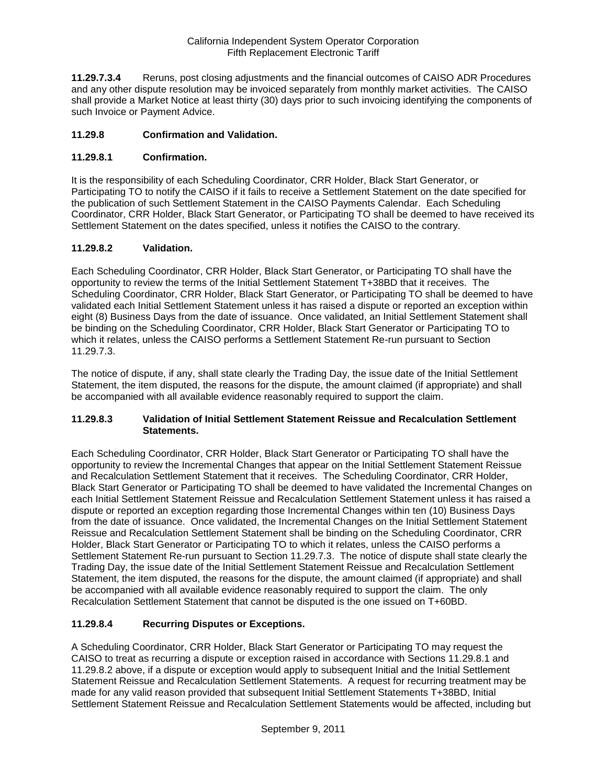**11.29.7.3.4** Reruns, post closing adjustments and the financial outcomes of CAISO ADR Procedures and any other dispute resolution may be invoiced separately from monthly market activities. The CAISO shall provide a Market Notice at least thirty (30) days prior to such invoicing identifying the components of such Invoice or Payment Advice.

# **11.29.8 Confirmation and Validation.**

# **11.29.8.1 Confirmation.**

It is the responsibility of each Scheduling Coordinator, CRR Holder, Black Start Generator, or Participating TO to notify the CAISO if it fails to receive a Settlement Statement on the date specified for the publication of such Settlement Statement in the CAISO Payments Calendar. Each Scheduling Coordinator, CRR Holder, Black Start Generator, or Participating TO shall be deemed to have received its Settlement Statement on the dates specified, unless it notifies the CAISO to the contrary.

# **11.29.8.2 Validation.**

Each Scheduling Coordinator, CRR Holder, Black Start Generator, or Participating TO shall have the opportunity to review the terms of the Initial Settlement Statement T+38BD that it receives. The Scheduling Coordinator, CRR Holder, Black Start Generator, or Participating TO shall be deemed to have validated each Initial Settlement Statement unless it has raised a dispute or reported an exception within eight (8) Business Days from the date of issuance. Once validated, an Initial Settlement Statement shall be binding on the Scheduling Coordinator, CRR Holder, Black Start Generator or Participating TO to which it relates, unless the CAISO performs a Settlement Statement Re-run pursuant to Section 11.29.7.3.

The notice of dispute, if any, shall state clearly the Trading Day, the issue date of the Initial Settlement Statement, the item disputed, the reasons for the dispute, the amount claimed (if appropriate) and shall be accompanied with all available evidence reasonably required to support the claim.

### **11.29.8.3 Validation of Initial Settlement Statement Reissue and Recalculation Settlement Statements.**

Each Scheduling Coordinator, CRR Holder, Black Start Generator or Participating TO shall have the opportunity to review the Incremental Changes that appear on the Initial Settlement Statement Reissue and Recalculation Settlement Statement that it receives. The Scheduling Coordinator, CRR Holder, Black Start Generator or Participating TO shall be deemed to have validated the Incremental Changes on each Initial Settlement Statement Reissue and Recalculation Settlement Statement unless it has raised a dispute or reported an exception regarding those Incremental Changes within ten (10) Business Days from the date of issuance. Once validated, the Incremental Changes on the Initial Settlement Statement Reissue and Recalculation Settlement Statement shall be binding on the Scheduling Coordinator, CRR Holder, Black Start Generator or Participating TO to which it relates, unless the CAISO performs a Settlement Statement Re-run pursuant to Section 11.29.7.3. The notice of dispute shall state clearly the Trading Day, the issue date of the Initial Settlement Statement Reissue and Recalculation Settlement Statement, the item disputed, the reasons for the dispute, the amount claimed (if appropriate) and shall be accompanied with all available evidence reasonably required to support the claim. The only Recalculation Settlement Statement that cannot be disputed is the one issued on T+60BD.

# **11.29.8.4 Recurring Disputes or Exceptions.**

A Scheduling Coordinator, CRR Holder, Black Start Generator or Participating TO may request the CAISO to treat as recurring a dispute or exception raised in accordance with Sections 11.29.8.1 and 11.29.8.2 above, if a dispute or exception would apply to subsequent Initial and the Initial Settlement Statement Reissue and Recalculation Settlement Statements. A request for recurring treatment may be made for any valid reason provided that subsequent Initial Settlement Statements T+38BD, Initial Settlement Statement Reissue and Recalculation Settlement Statements would be affected, including but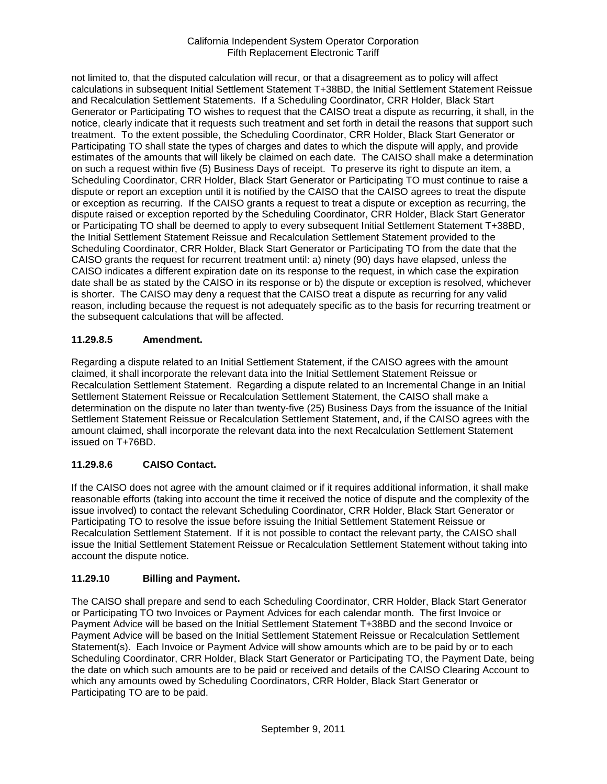not limited to, that the disputed calculation will recur, or that a disagreement as to policy will affect calculations in subsequent Initial Settlement Statement T+38BD, the Initial Settlement Statement Reissue and Recalculation Settlement Statements. If a Scheduling Coordinator, CRR Holder, Black Start Generator or Participating TO wishes to request that the CAISO treat a dispute as recurring, it shall, in the notice, clearly indicate that it requests such treatment and set forth in detail the reasons that support such treatment. To the extent possible, the Scheduling Coordinator, CRR Holder, Black Start Generator or Participating TO shall state the types of charges and dates to which the dispute will apply, and provide estimates of the amounts that will likely be claimed on each date. The CAISO shall make a determination on such a request within five (5) Business Days of receipt. To preserve its right to dispute an item, a Scheduling Coordinator, CRR Holder, Black Start Generator or Participating TO must continue to raise a dispute or report an exception until it is notified by the CAISO that the CAISO agrees to treat the dispute or exception as recurring. If the CAISO grants a request to treat a dispute or exception as recurring, the dispute raised or exception reported by the Scheduling Coordinator, CRR Holder, Black Start Generator or Participating TO shall be deemed to apply to every subsequent Initial Settlement Statement T+38BD, the Initial Settlement Statement Reissue and Recalculation Settlement Statement provided to the Scheduling Coordinator, CRR Holder, Black Start Generator or Participating TO from the date that the CAISO grants the request for recurrent treatment until: a) ninety (90) days have elapsed, unless the CAISO indicates a different expiration date on its response to the request, in which case the expiration date shall be as stated by the CAISO in its response or b) the dispute or exception is resolved, whichever is shorter. The CAISO may deny a request that the CAISO treat a dispute as recurring for any valid reason, including because the request is not adequately specific as to the basis for recurring treatment or the subsequent calculations that will be affected.

# **11.29.8.5 Amendment.**

Regarding a dispute related to an Initial Settlement Statement, if the CAISO agrees with the amount claimed, it shall incorporate the relevant data into the Initial Settlement Statement Reissue or Recalculation Settlement Statement. Regarding a dispute related to an Incremental Change in an Initial Settlement Statement Reissue or Recalculation Settlement Statement, the CAISO shall make a determination on the dispute no later than twenty-five (25) Business Days from the issuance of the Initial Settlement Statement Reissue or Recalculation Settlement Statement, and, if the CAISO agrees with the amount claimed, shall incorporate the relevant data into the next Recalculation Settlement Statement issued on T+76BD.

# **11.29.8.6 CAISO Contact.**

If the CAISO does not agree with the amount claimed or if it requires additional information, it shall make reasonable efforts (taking into account the time it received the notice of dispute and the complexity of the issue involved) to contact the relevant Scheduling Coordinator, CRR Holder, Black Start Generator or Participating TO to resolve the issue before issuing the Initial Settlement Statement Reissue or Recalculation Settlement Statement. If it is not possible to contact the relevant party, the CAISO shall issue the Initial Settlement Statement Reissue or Recalculation Settlement Statement without taking into account the dispute notice.

# **11.29.10 Billing and Payment.**

The CAISO shall prepare and send to each Scheduling Coordinator, CRR Holder, Black Start Generator or Participating TO two Invoices or Payment Advices for each calendar month. The first Invoice or Payment Advice will be based on the Initial Settlement Statement T+38BD and the second Invoice or Payment Advice will be based on the Initial Settlement Statement Reissue or Recalculation Settlement Statement(s). Each Invoice or Payment Advice will show amounts which are to be paid by or to each Scheduling Coordinator, CRR Holder, Black Start Generator or Participating TO, the Payment Date, being the date on which such amounts are to be paid or received and details of the CAISO Clearing Account to which any amounts owed by Scheduling Coordinators, CRR Holder, Black Start Generator or Participating TO are to be paid.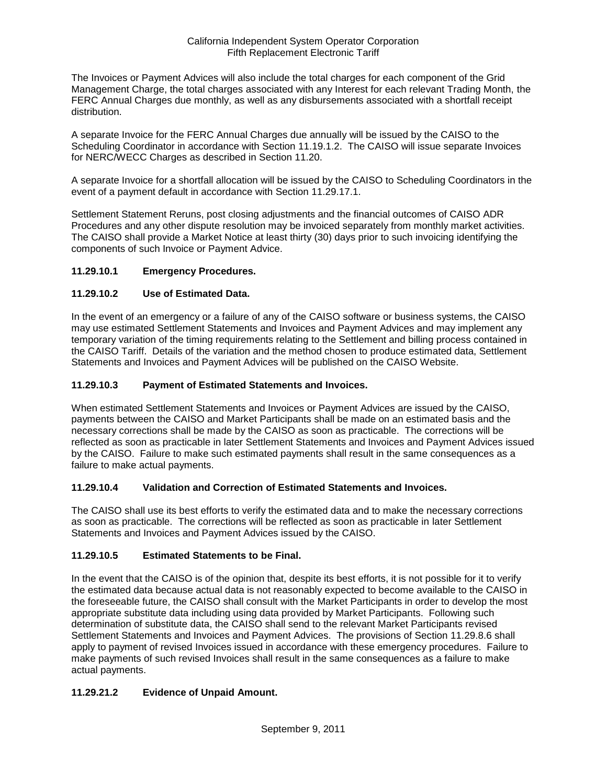The Invoices or Payment Advices will also include the total charges for each component of the Grid Management Charge, the total charges associated with any Interest for each relevant Trading Month, the FERC Annual Charges due monthly, as well as any disbursements associated with a shortfall receipt distribution.

A separate Invoice for the FERC Annual Charges due annually will be issued by the CAISO to the Scheduling Coordinator in accordance with Section 11.19.1.2. The CAISO will issue separate Invoices for NERC/WECC Charges as described in Section 11.20.

A separate Invoice for a shortfall allocation will be issued by the CAISO to Scheduling Coordinators in the event of a payment default in accordance with Section 11.29.17.1.

Settlement Statement Reruns, post closing adjustments and the financial outcomes of CAISO ADR Procedures and any other dispute resolution may be invoiced separately from monthly market activities. The CAISO shall provide a Market Notice at least thirty (30) days prior to such invoicing identifying the components of such Invoice or Payment Advice.

# **11.29.10.1 Emergency Procedures.**

# **11.29.10.2 Use of Estimated Data.**

In the event of an emergency or a failure of any of the CAISO software or business systems, the CAISO may use estimated Settlement Statements and Invoices and Payment Advices and may implement any temporary variation of the timing requirements relating to the Settlement and billing process contained in the CAISO Tariff. Details of the variation and the method chosen to produce estimated data, Settlement Statements and Invoices and Payment Advices will be published on the CAISO Website.

### **11.29.10.3 Payment of Estimated Statements and Invoices.**

When estimated Settlement Statements and Invoices or Payment Advices are issued by the CAISO, payments between the CAISO and Market Participants shall be made on an estimated basis and the necessary corrections shall be made by the CAISO as soon as practicable. The corrections will be reflected as soon as practicable in later Settlement Statements and Invoices and Payment Advices issued by the CAISO. Failure to make such estimated payments shall result in the same consequences as a failure to make actual payments.

## **11.29.10.4 Validation and Correction of Estimated Statements and Invoices.**

The CAISO shall use its best efforts to verify the estimated data and to make the necessary corrections as soon as practicable. The corrections will be reflected as soon as practicable in later Settlement Statements and Invoices and Payment Advices issued by the CAISO.

### **11.29.10.5 Estimated Statements to be Final.**

In the event that the CAISO is of the opinion that, despite its best efforts, it is not possible for it to verify the estimated data because actual data is not reasonably expected to become available to the CAISO in the foreseeable future, the CAISO shall consult with the Market Participants in order to develop the most appropriate substitute data including using data provided by Market Participants. Following such determination of substitute data, the CAISO shall send to the relevant Market Participants revised Settlement Statements and Invoices and Payment Advices. The provisions of Section 11.29.8.6 shall apply to payment of revised Invoices issued in accordance with these emergency procedures. Failure to make payments of such revised Invoices shall result in the same consequences as a failure to make actual payments.

# **11.29.21.2 Evidence of Unpaid Amount.**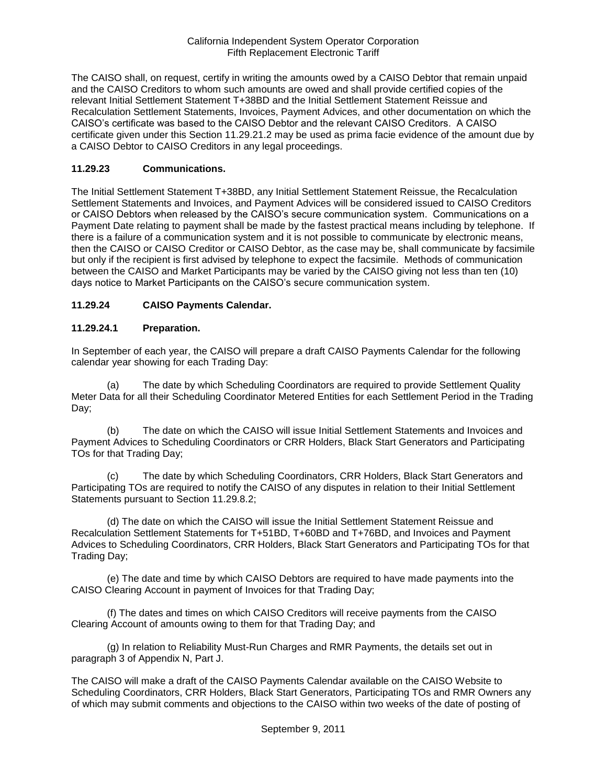The CAISO shall, on request, certify in writing the amounts owed by a CAISO Debtor that remain unpaid and the CAISO Creditors to whom such amounts are owed and shall provide certified copies of the relevant Initial Settlement Statement T+38BD and the Initial Settlement Statement Reissue and Recalculation Settlement Statements, Invoices, Payment Advices, and other documentation on which the CAISO's certificate was based to the CAISO Debtor and the relevant CAISO Creditors. A CAISO certificate given under this Section 11.29.21.2 may be used as prima facie evidence of the amount due by a CAISO Debtor to CAISO Creditors in any legal proceedings.

## **11.29.23 Communications.**

The Initial Settlement Statement T+38BD, any Initial Settlement Statement Reissue, the Recalculation Settlement Statements and Invoices, and Payment Advices will be considered issued to CAISO Creditors or CAISO Debtors when released by the CAISO's secure communication system. Communications on a Payment Date relating to payment shall be made by the fastest practical means including by telephone. If there is a failure of a communication system and it is not possible to communicate by electronic means, then the CAISO or CAISO Creditor or CAISO Debtor, as the case may be, shall communicate by facsimile but only if the recipient is first advised by telephone to expect the facsimile. Methods of communication between the CAISO and Market Participants may be varied by the CAISO giving not less than ten (10) days notice to Market Participants on the CAISO's secure communication system.

# **11.29.24 CAISO Payments Calendar.**

### **11.29.24.1 Preparation.**

In September of each year, the CAISO will prepare a draft CAISO Payments Calendar for the following calendar year showing for each Trading Day:

(a) The date by which Scheduling Coordinators are required to provide Settlement Quality Meter Data for all their Scheduling Coordinator Metered Entities for each Settlement Period in the Trading Day;

(b) The date on which the CAISO will issue Initial Settlement Statements and Invoices and Payment Advices to Scheduling Coordinators or CRR Holders, Black Start Generators and Participating TOs for that Trading Day;

(c) The date by which Scheduling Coordinators, CRR Holders, Black Start Generators and Participating TOs are required to notify the CAISO of any disputes in relation to their Initial Settlement Statements pursuant to Section 11.29.8.2;

(d) The date on which the CAISO will issue the Initial Settlement Statement Reissue and Recalculation Settlement Statements for T+51BD, T+60BD and T+76BD, and Invoices and Payment Advices to Scheduling Coordinators, CRR Holders, Black Start Generators and Participating TOs for that Trading Day;

(e) The date and time by which CAISO Debtors are required to have made payments into the CAISO Clearing Account in payment of Invoices for that Trading Day;

(f) The dates and times on which CAISO Creditors will receive payments from the CAISO Clearing Account of amounts owing to them for that Trading Day; and

(g) In relation to Reliability Must-Run Charges and RMR Payments, the details set out in paragraph 3 of Appendix N, Part J.

The CAISO will make a draft of the CAISO Payments Calendar available on the CAISO Website to Scheduling Coordinators, CRR Holders, Black Start Generators, Participating TOs and RMR Owners any of which may submit comments and objections to the CAISO within two weeks of the date of posting of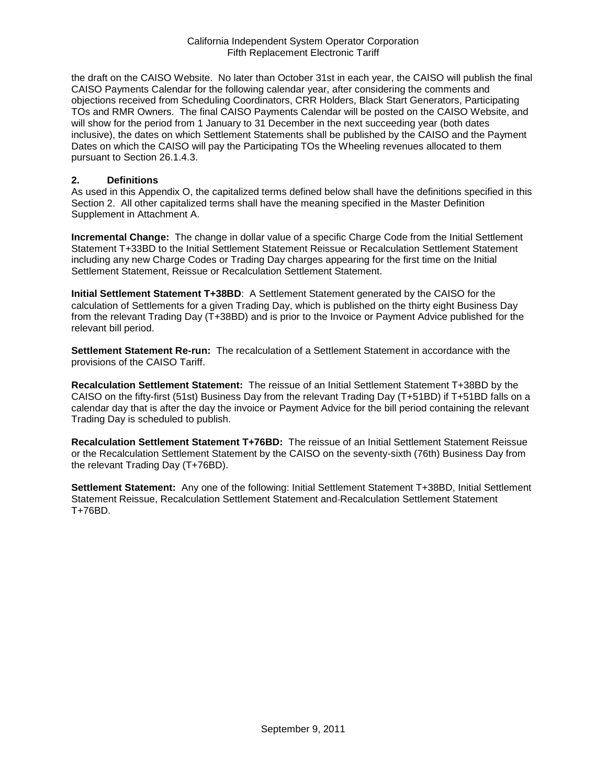the draft on the CAISO Website. No later than October 31st in each year, the CAISO will publish the final CAISO Payments Calendar for the following calendar year, after considering the comments and objections received from Scheduling Coordinators, CRR Holders, Black Start Generators, Participating TOs and RMR Owners. The final CAISO Payments Calendar will be posted on the CAISO Website, and will show for the period from 1 January to 31 December in the next succeeding year (both dates inclusive), the dates on which Settlement Statements shall be published by the CAISO and the Payment Dates on which the CAISO will pay the Participating TOs the Wheeling revenues allocated to them pursuant to Section 26.1.4.3.

#### **2. Definitions**

As used in this Appendix O, the capitalized terms defined below shall have the definitions specified in this Section 2. All other capitalized terms shall have the meaning specified in the Master Definition Supplement in Attachment A.

**Incremental Change:** The change in dollar value of a specific Charge Code from the Initial Settlement Statement T+33BD to the Initial Settlement Statement Reissue or Recalculation Settlement Statement including any new Charge Codes or Trading Day charges appearing for the first time on the Initial Settlement Statement, Reissue or Recalculation Settlement Statement.

**Initial Settlement Statement T+38BD**: A Settlement Statement generated by the CAISO for the calculation of Settlements for a given Trading Day, which is published on the thirty eight Business Day from the relevant Trading Day (T+38BD) and is prior to the Invoice or Payment Advice published for the relevant bill period.

**Settlement Statement Re-run:** The recalculation of a Settlement Statement in accordance with the provisions of the CAISO Tariff.

**Recalculation Settlement Statement:** The reissue of an Initial Settlement Statement T+38BD by the CAISO on the fifty-first (51st) Business Day from the relevant Trading Day (T+51BD) if T+51BD falls on a calendar day that is after the day the invoice or Payment Advice for the bill period containing the relevant Trading Day is scheduled to publish.

**Recalculation Settlement Statement T+76BD:** The reissue of an Initial Settlement Statement Reissue or the Recalculation Settlement Statement by the CAISO on the seventy-sixth (76th) Business Day from the relevant Trading Day (T+76BD).

**Settlement Statement:** Any one of the following: Initial Settlement Statement T+38BD, Initial Settlement Statement Reissue, Recalculation Settlement Statement and Recalculation Settlement Statement T+76BD.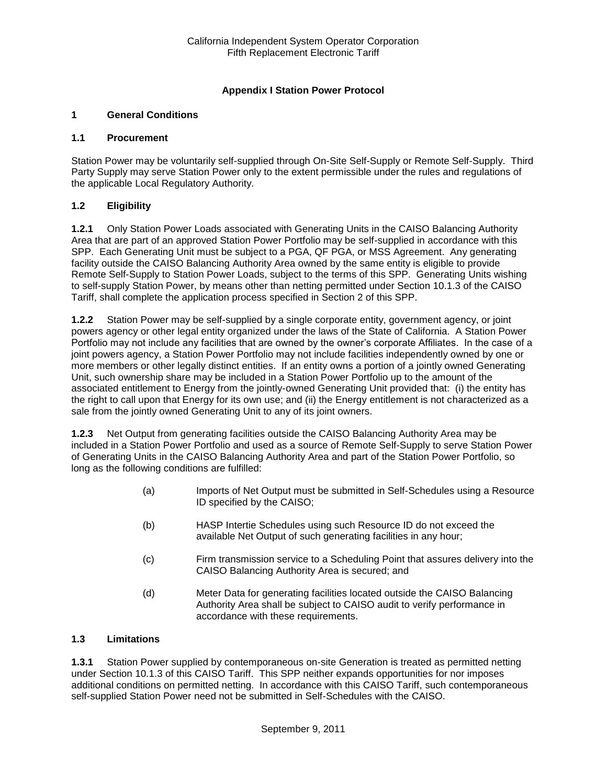# **Appendix I Station Power Protocol**

### **1 General Conditions**

### **1.1 Procurement**

Station Power may be voluntarily self-supplied through On-Site Self-Supply or Remote Self-Supply. Third Party Supply may serve Station Power only to the extent permissible under the rules and regulations of the applicable Local Regulatory Authority.

### **1.2 Eligibility**

**1.2.1** Only Station Power Loads associated with Generating Units in the CAISO Balancing Authority Area that are part of an approved Station Power Portfolio may be self-supplied in accordance with this SPP. Each Generating Unit must be subject to a PGA, QF PGA, or MSS Agreement. Any generating facility outside the CAISO Balancing Authority Area owned by the same entity is eligible to provide Remote Self-Supply to Station Power Loads, subject to the terms of this SPP. Generating Units wishing to self-supply Station Power, by means other than netting permitted under Section 10.1.3 of the CAISO Tariff, shall complete the application process specified in Section 2 of this SPP.

**1.2.2** Station Power may be self-supplied by a single corporate entity, government agency, or joint powers agency or other legal entity organized under the laws of the State of California. A Station Power Portfolio may not include any facilities that are owned by the owner's corporate Affiliates. In the case of a joint powers agency, a Station Power Portfolio may not include facilities independently owned by one or more members or other legally distinct entities. If an entity owns a portion of a jointly owned Generating Unit, such ownership share may be included in a Station Power Portfolio up to the amount of the associated entitlement to Energy from the jointly-owned Generating Unit provided that: (i) the entity has the right to call upon that Energy for its own use; and (ii) the Energy entitlement is not characterized as a sale from the jointly owned Generating Unit to any of its joint owners.

**1.2.3** Net Output from generating facilities outside the CAISO Balancing Authority Area may be included in a Station Power Portfolio and used as a source of Remote Self-Supply to serve Station Power of Generating Units in the CAISO Balancing Authority Area and part of the Station Power Portfolio, so long as the following conditions are fulfilled:

- (a) Imports of Net Output must be submitted in Self-Schedules using a Resource ID specified by the CAISO;
- (b) HASP Intertie Schedules using such Resource ID do not exceed the available Net Output of such generating facilities in any hour;
- (c) Firm transmission service to a Scheduling Point that assures delivery into the CAISO Balancing Authority Area is secured; and
- (d) Meter Data for generating facilities located outside the CAISO Balancing Authority Area shall be subject to CAISO audit to verify performance in accordance with these requirements.

### **1.3 Limitations**

**1.3.1** Station Power supplied by contemporaneous on-site Generation is treated as permitted netting under Section 10.1.3 of this CAISO Tariff. This SPP neither expands opportunities for nor imposes additional conditions on permitted netting. In accordance with this CAISO Tariff, such contemporaneous self-supplied Station Power need not be submitted in Self-Schedules with the CAISO.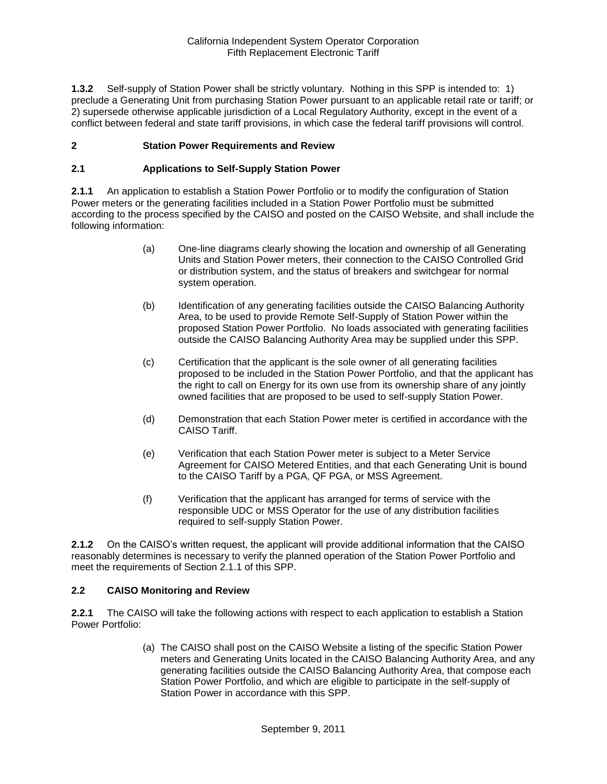**1.3.2** Self-supply of Station Power shall be strictly voluntary. Nothing in this SPP is intended to: 1) preclude a Generating Unit from purchasing Station Power pursuant to an applicable retail rate or tariff; or 2) supersede otherwise applicable jurisdiction of a Local Regulatory Authority, except in the event of a conflict between federal and state tariff provisions, in which case the federal tariff provisions will control.

### **2 Station Power Requirements and Review**

### **2.1 Applications to Self-Supply Station Power**

**2.1.1** An application to establish a Station Power Portfolio or to modify the configuration of Station Power meters or the generating facilities included in a Station Power Portfolio must be submitted according to the process specified by the CAISO and posted on the CAISO Website, and shall include the following information:

- (a) One-line diagrams clearly showing the location and ownership of all Generating Units and Station Power meters, their connection to the CAISO Controlled Grid or distribution system, and the status of breakers and switchgear for normal system operation.
- (b) Identification of any generating facilities outside the CAISO Balancing Authority Area, to be used to provide Remote Self-Supply of Station Power within the proposed Station Power Portfolio. No loads associated with generating facilities outside the CAISO Balancing Authority Area may be supplied under this SPP.
- (c) Certification that the applicant is the sole owner of all generating facilities proposed to be included in the Station Power Portfolio, and that the applicant has the right to call on Energy for its own use from its ownership share of any jointly owned facilities that are proposed to be used to self-supply Station Power.
- (d) Demonstration that each Station Power meter is certified in accordance with the CAISO Tariff.
- (e) Verification that each Station Power meter is subject to a Meter Service Agreement for CAISO Metered Entities, and that each Generating Unit is bound to the CAISO Tariff by a PGA, QF PGA, or MSS Agreement.
- (f) Verification that the applicant has arranged for terms of service with the responsible UDC or MSS Operator for the use of any distribution facilities required to self-supply Station Power.

**2.1.2** On the CAISO's written request, the applicant will provide additional information that the CAISO reasonably determines is necessary to verify the planned operation of the Station Power Portfolio and meet the requirements of Section 2.1.1 of this SPP.

### **2.2 CAISO Monitoring and Review**

**2.2.1** The CAISO will take the following actions with respect to each application to establish a Station Power Portfolio:

> (a) The CAISO shall post on the CAISO Website a listing of the specific Station Power meters and Generating Units located in the CAISO Balancing Authority Area, and any generating facilities outside the CAISO Balancing Authority Area, that compose each Station Power Portfolio, and which are eligible to participate in the self-supply of Station Power in accordance with this SPP.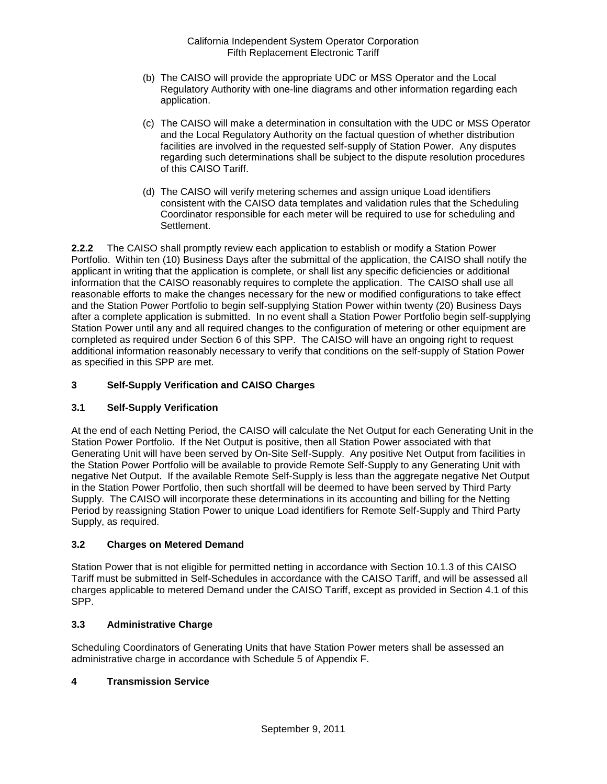- (b) The CAISO will provide the appropriate UDC or MSS Operator and the Local Regulatory Authority with one-line diagrams and other information regarding each application.
- (c) The CAISO will make a determination in consultation with the UDC or MSS Operator and the Local Regulatory Authority on the factual question of whether distribution facilities are involved in the requested self-supply of Station Power. Any disputes regarding such determinations shall be subject to the dispute resolution procedures of this CAISO Tariff.
- (d) The CAISO will verify metering schemes and assign unique Load identifiers consistent with the CAISO data templates and validation rules that the Scheduling Coordinator responsible for each meter will be required to use for scheduling and Settlement.

**2.2.2** The CAISO shall promptly review each application to establish or modify a Station Power Portfolio. Within ten (10) Business Days after the submittal of the application, the CAISO shall notify the applicant in writing that the application is complete, or shall list any specific deficiencies or additional information that the CAISO reasonably requires to complete the application. The CAISO shall use all reasonable efforts to make the changes necessary for the new or modified configurations to take effect and the Station Power Portfolio to begin self-supplying Station Power within twenty (20) Business Days after a complete application is submitted. In no event shall a Station Power Portfolio begin self-supplying Station Power until any and all required changes to the configuration of metering or other equipment are completed as required under Section 6 of this SPP. The CAISO will have an ongoing right to request additional information reasonably necessary to verify that conditions on the self-supply of Station Power as specified in this SPP are met.

# **3 Self-Supply Verification and CAISO Charges**

### **3.1 Self-Supply Verification**

At the end of each Netting Period, the CAISO will calculate the Net Output for each Generating Unit in the Station Power Portfolio. If the Net Output is positive, then all Station Power associated with that Generating Unit will have been served by On-Site Self-Supply. Any positive Net Output from facilities in the Station Power Portfolio will be available to provide Remote Self-Supply to any Generating Unit with negative Net Output. If the available Remote Self-Supply is less than the aggregate negative Net Output in the Station Power Portfolio, then such shortfall will be deemed to have been served by Third Party Supply. The CAISO will incorporate these determinations in its accounting and billing for the Netting Period by reassigning Station Power to unique Load identifiers for Remote Self-Supply and Third Party Supply, as required.

# **3.2 Charges on Metered Demand**

Station Power that is not eligible for permitted netting in accordance with Section 10.1.3 of this CAISO Tariff must be submitted in Self-Schedules in accordance with the CAISO Tariff, and will be assessed all charges applicable to metered Demand under the CAISO Tariff, except as provided in Section 4.1 of this SPP.

### **3.3 Administrative Charge**

Scheduling Coordinators of Generating Units that have Station Power meters shall be assessed an administrative charge in accordance with Schedule 5 of Appendix F.

### **4 Transmission Service**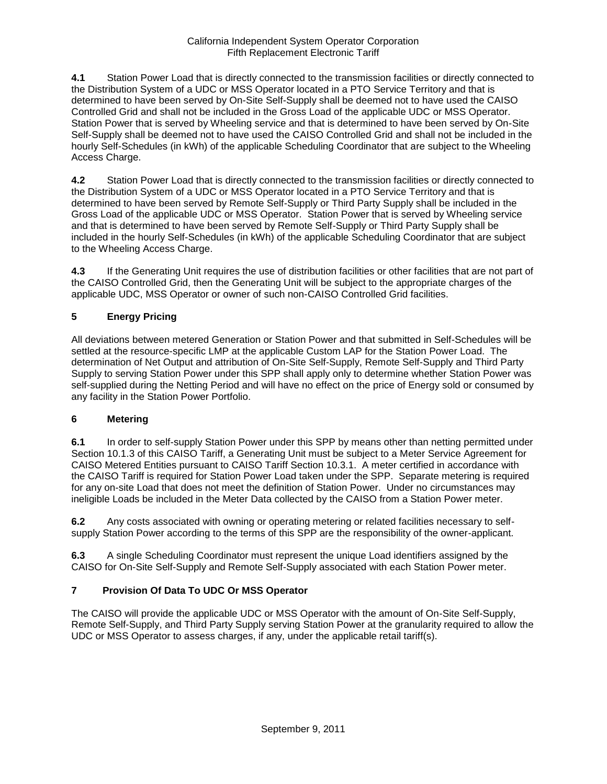**4.1** Station Power Load that is directly connected to the transmission facilities or directly connected to the Distribution System of a UDC or MSS Operator located in a PTO Service Territory and that is determined to have been served by On-Site Self-Supply shall be deemed not to have used the CAISO Controlled Grid and shall not be included in the Gross Load of the applicable UDC or MSS Operator. Station Power that is served by Wheeling service and that is determined to have been served by On-Site Self-Supply shall be deemed not to have used the CAISO Controlled Grid and shall not be included in the hourly Self-Schedules (in kWh) of the applicable Scheduling Coordinator that are subject to the Wheeling Access Charge.

**4.2** Station Power Load that is directly connected to the transmission facilities or directly connected to the Distribution System of a UDC or MSS Operator located in a PTO Service Territory and that is determined to have been served by Remote Self-Supply or Third Party Supply shall be included in the Gross Load of the applicable UDC or MSS Operator. Station Power that is served by Wheeling service and that is determined to have been served by Remote Self-Supply or Third Party Supply shall be included in the hourly Self-Schedules (in kWh) of the applicable Scheduling Coordinator that are subject to the Wheeling Access Charge.

**4.3** If the Generating Unit requires the use of distribution facilities or other facilities that are not part of the CAISO Controlled Grid, then the Generating Unit will be subject to the appropriate charges of the applicable UDC, MSS Operator or owner of such non-CAISO Controlled Grid facilities.

# **5 Energy Pricing**

All deviations between metered Generation or Station Power and that submitted in Self-Schedules will be settled at the resource-specific LMP at the applicable Custom LAP for the Station Power Load. The determination of Net Output and attribution of On-Site Self-Supply, Remote Self-Supply and Third Party Supply to serving Station Power under this SPP shall apply only to determine whether Station Power was self-supplied during the Netting Period and will have no effect on the price of Energy sold or consumed by any facility in the Station Power Portfolio.

# **6 Metering**

**6.1** In order to self-supply Station Power under this SPP by means other than netting permitted under Section 10.1.3 of this CAISO Tariff, a Generating Unit must be subject to a Meter Service Agreement for CAISO Metered Entities pursuant to CAISO Tariff Section 10.3.1. A meter certified in accordance with the CAISO Tariff is required for Station Power Load taken under the SPP. Separate metering is required for any on-site Load that does not meet the definition of Station Power. Under no circumstances may ineligible Loads be included in the Meter Data collected by the CAISO from a Station Power meter.

**6.2** Any costs associated with owning or operating metering or related facilities necessary to selfsupply Station Power according to the terms of this SPP are the responsibility of the owner-applicant.

**6.3** A single Scheduling Coordinator must represent the unique Load identifiers assigned by the CAISO for On-Site Self-Supply and Remote Self-Supply associated with each Station Power meter.

# **7 Provision Of Data To UDC Or MSS Operator**

The CAISO will provide the applicable UDC or MSS Operator with the amount of On-Site Self-Supply, Remote Self-Supply, and Third Party Supply serving Station Power at the granularity required to allow the UDC or MSS Operator to assess charges, if any, under the applicable retail tariff(s).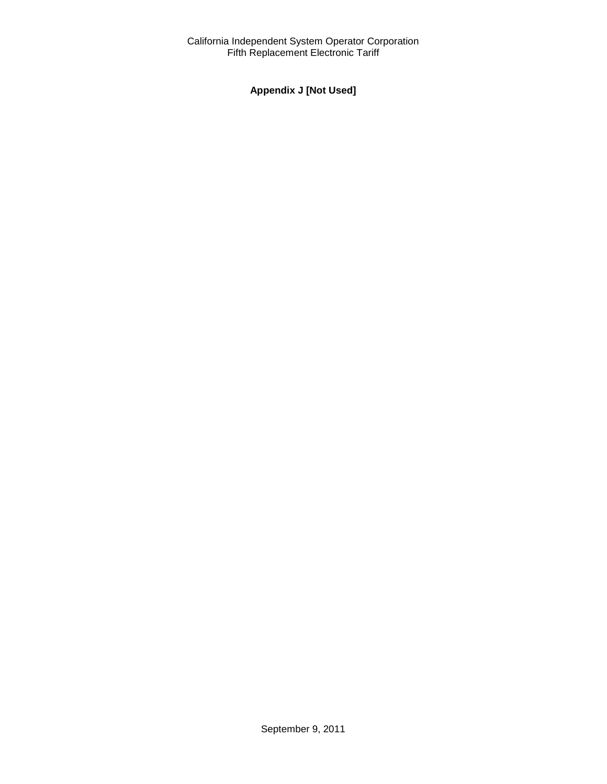# **Appendix J [Not Used]**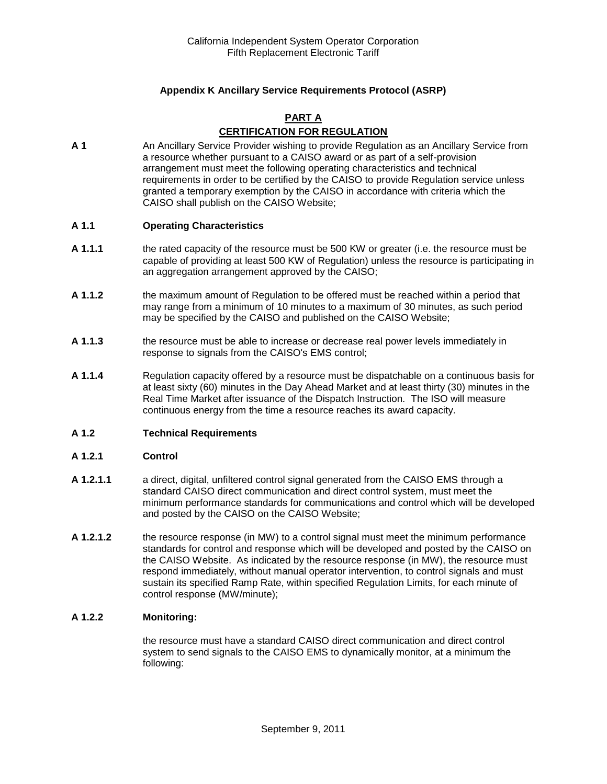# **Appendix K Ancillary Service Requirements Protocol (ASRP)**

# **PART A CERTIFICATION FOR REGULATION**

**A 1** An Ancillary Service Provider wishing to provide Regulation as an Ancillary Service from a resource whether pursuant to a CAISO award or as part of a self-provision arrangement must meet the following operating characteristics and technical requirements in order to be certified by the CAISO to provide Regulation service unless granted a temporary exemption by the CAISO in accordance with criteria which the CAISO shall publish on the CAISO Website;

### **A 1.1 Operating Characteristics**

- **A 1.1.1** the rated capacity of the resource must be 500 KW or greater (i.e. the resource must be capable of providing at least 500 KW of Regulation) unless the resource is participating in an aggregation arrangement approved by the CAISO;
- **A 1.1.2** the maximum amount of Regulation to be offered must be reached within a period that may range from a minimum of 10 minutes to a maximum of 30 minutes, as such period may be specified by the CAISO and published on the CAISO Website;
- **A 1.1.3** the resource must be able to increase or decrease real power levels immediately in response to signals from the CAISO's EMS control;
- **A 1.1.4** Regulation capacity offered by a resource must be dispatchable on a continuous basis for at least sixty (60) minutes in the Day Ahead Market and at least thirty (30) minutes in the Real Time Market after issuance of the Dispatch Instruction. The ISO will measure continuous energy from the time a resource reaches its award capacity.

#### **A 1.2 Technical Requirements**

#### **A 1.2.1 Control**

- **A 1.2.1.1** a direct, digital, unfiltered control signal generated from the CAISO EMS through a standard CAISO direct communication and direct control system, must meet the minimum performance standards for communications and control which will be developed and posted by the CAISO on the CAISO Website;
- **A 1.2.1.2** the resource response (in MW) to a control signal must meet the minimum performance standards for control and response which will be developed and posted by the CAISO on the CAISO Website. As indicated by the resource response (in MW), the resource must respond immediately, without manual operator intervention, to control signals and must sustain its specified Ramp Rate, within specified Regulation Limits, for each minute of control response (MW/minute);

#### **A 1.2.2 Monitoring:**

the resource must have a standard CAISO direct communication and direct control system to send signals to the CAISO EMS to dynamically monitor, at a minimum the following: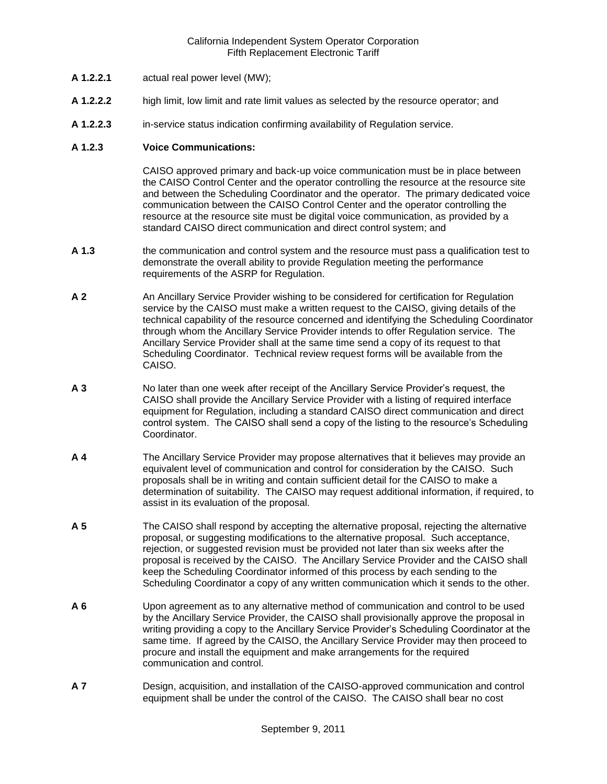- **A 1.2.2.1** actual real power level (MW);
- **A 1.2.2.2** high limit, low limit and rate limit values as selected by the resource operator; and
- **A 1.2.2.3** in-service status indication confirming availability of Regulation service.

### **A 1.2.3 Voice Communications:**

CAISO approved primary and back-up voice communication must be in place between the CAISO Control Center and the operator controlling the resource at the resource site and between the Scheduling Coordinator and the operator. The primary dedicated voice communication between the CAISO Control Center and the operator controlling the resource at the resource site must be digital voice communication, as provided by a standard CAISO direct communication and direct control system; and

- **A 1.3** the communication and control system and the resource must pass a qualification test to demonstrate the overall ability to provide Regulation meeting the performance requirements of the ASRP for Regulation.
- **A 2** An Ancillary Service Provider wishing to be considered for certification for Regulation service by the CAISO must make a written request to the CAISO, giving details of the technical capability of the resource concerned and identifying the Scheduling Coordinator through whom the Ancillary Service Provider intends to offer Regulation service. The Ancillary Service Provider shall at the same time send a copy of its request to that Scheduling Coordinator. Technical review request forms will be available from the CAISO.
- **A 3** No later than one week after receipt of the Ancillary Service Provider's request, the CAISO shall provide the Ancillary Service Provider with a listing of required interface equipment for Regulation, including a standard CAISO direct communication and direct control system. The CAISO shall send a copy of the listing to the resource's Scheduling Coordinator.
- **A 4** The Ancillary Service Provider may propose alternatives that it believes may provide an equivalent level of communication and control for consideration by the CAISO. Such proposals shall be in writing and contain sufficient detail for the CAISO to make a determination of suitability. The CAISO may request additional information, if required, to assist in its evaluation of the proposal.
- **A 5** The CAISO shall respond by accepting the alternative proposal, rejecting the alternative proposal, or suggesting modifications to the alternative proposal. Such acceptance, rejection, or suggested revision must be provided not later than six weeks after the proposal is received by the CAISO. The Ancillary Service Provider and the CAISO shall keep the Scheduling Coordinator informed of this process by each sending to the Scheduling Coordinator a copy of any written communication which it sends to the other.
- **A 6** Upon agreement as to any alternative method of communication and control to be used by the Ancillary Service Provider, the CAISO shall provisionally approve the proposal in writing providing a copy to the Ancillary Service Provider's Scheduling Coordinator at the same time. If agreed by the CAISO, the Ancillary Service Provider may then proceed to procure and install the equipment and make arrangements for the required communication and control.
- **A 7** Design, acquisition, and installation of the CAISO-approved communication and control equipment shall be under the control of the CAISO. The CAISO shall bear no cost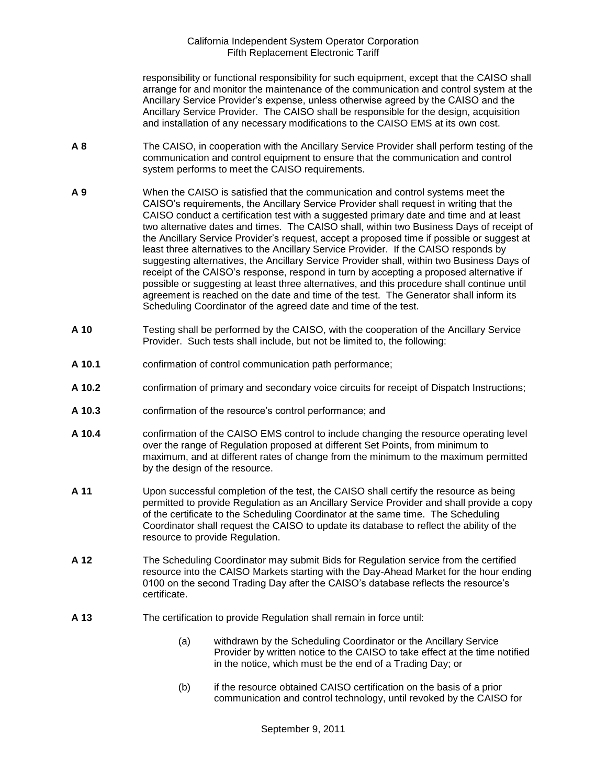responsibility or functional responsibility for such equipment, except that the CAISO shall arrange for and monitor the maintenance of the communication and control system at the Ancillary Service Provider's expense, unless otherwise agreed by the CAISO and the Ancillary Service Provider. The CAISO shall be responsible for the design, acquisition and installation of any necessary modifications to the CAISO EMS at its own cost.

- **A 8** The CAISO, in cooperation with the Ancillary Service Provider shall perform testing of the communication and control equipment to ensure that the communication and control system performs to meet the CAISO requirements.
- **A 9** When the CAISO is satisfied that the communication and control systems meet the CAISO's requirements, the Ancillary Service Provider shall request in writing that the CAISO conduct a certification test with a suggested primary date and time and at least two alternative dates and times. The CAISO shall, within two Business Days of receipt of the Ancillary Service Provider's request, accept a proposed time if possible or suggest at least three alternatives to the Ancillary Service Provider. If the CAISO responds by suggesting alternatives, the Ancillary Service Provider shall, within two Business Days of receipt of the CAISO's response, respond in turn by accepting a proposed alternative if possible or suggesting at least three alternatives, and this procedure shall continue until agreement is reached on the date and time of the test. The Generator shall inform its Scheduling Coordinator of the agreed date and time of the test.
- **A 10** Testing shall be performed by the CAISO, with the cooperation of the Ancillary Service Provider. Such tests shall include, but not be limited to, the following:
- **A 10.1** confirmation of control communication path performance;
- **A 10.2** confirmation of primary and secondary voice circuits for receipt of Dispatch Instructions;
- **A 10.3** confirmation of the resource's control performance; and
- **A 10.4** confirmation of the CAISO EMS control to include changing the resource operating level over the range of Regulation proposed at different Set Points, from minimum to maximum, and at different rates of change from the minimum to the maximum permitted by the design of the resource.
- **A 11** Upon successful completion of the test, the CAISO shall certify the resource as being permitted to provide Regulation as an Ancillary Service Provider and shall provide a copy of the certificate to the Scheduling Coordinator at the same time. The Scheduling Coordinator shall request the CAISO to update its database to reflect the ability of the resource to provide Regulation.
- **A 12** The Scheduling Coordinator may submit Bids for Regulation service from the certified resource into the CAISO Markets starting with the Day-Ahead Market for the hour ending 0100 on the second Trading Day after the CAISO's database reflects the resource's certificate.
- **A 13** The certification to provide Regulation shall remain in force until:
	- (a) withdrawn by the Scheduling Coordinator or the Ancillary Service Provider by written notice to the CAISO to take effect at the time notified in the notice, which must be the end of a Trading Day; or
	- (b) if the resource obtained CAISO certification on the basis of a prior communication and control technology, until revoked by the CAISO for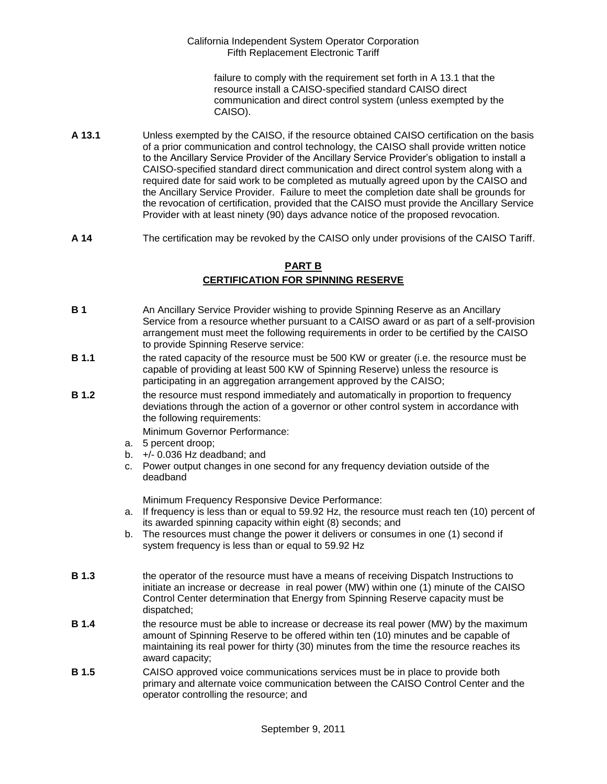failure to comply with the requirement set forth in A 13.1 that the resource install a CAISO-specified standard CAISO direct communication and direct control system (unless exempted by the CAISO).

- **A 13.1** Unless exempted by the CAISO, if the resource obtained CAISO certification on the basis of a prior communication and control technology, the CAISO shall provide written notice to the Ancillary Service Provider of the Ancillary Service Provider's obligation to install a CAISO-specified standard direct communication and direct control system along with a required date for said work to be completed as mutually agreed upon by the CAISO and the Ancillary Service Provider. Failure to meet the completion date shall be grounds for the revocation of certification, provided that the CAISO must provide the Ancillary Service Provider with at least ninety (90) days advance notice of the proposed revocation.
- **A 14** The certification may be revoked by the CAISO only under provisions of the CAISO Tariff.

# **PART B**

# **CERTIFICATION FOR SPINNING RESERVE**

- **B 1** An Ancillary Service Provider wishing to provide Spinning Reserve as an Ancillary Service from a resource whether pursuant to a CAISO award or as part of a self-provision arrangement must meet the following requirements in order to be certified by the CAISO to provide Spinning Reserve service:
- **B 1.1** the rated capacity of the resource must be 500 KW or greater (i.e. the resource must be capable of providing at least 500 KW of Spinning Reserve) unless the resource is participating in an aggregation arrangement approved by the CAISO;
- **B 1.2** the resource must respond immediately and automatically in proportion to frequency deviations through the action of a governor or other control system in accordance with the following requirements:

Minimum Governor Performance:

- a. 5 percent droop;
- b. +/- 0.036 Hz deadband; and
- c. Power output changes in one second for any frequency deviation outside of the deadband

Minimum Frequency Responsive Device Performance:

- a. If frequency is less than or equal to 59.92 Hz, the resource must reach ten (10) percent of its awarded spinning capacity within eight (8) seconds; and
- b. The resources must change the power it delivers or consumes in one (1) second if system frequency is less than or equal to 59.92 Hz
- **B 1.3** the operator of the resource must have a means of receiving Dispatch Instructions to initiate an increase or decrease in real power (MW) within one (1) minute of the CAISO Control Center determination that Energy from Spinning Reserve capacity must be dispatched;
- **B 1.4** the resource must be able to increase or decrease its real power (MW) by the maximum amount of Spinning Reserve to be offered within ten (10) minutes and be capable of maintaining its real power for thirty (30) minutes from the time the resource reaches its award capacity;
- **B 1.5** CAISO approved voice communications services must be in place to provide both primary and alternate voice communication between the CAISO Control Center and the operator controlling the resource; and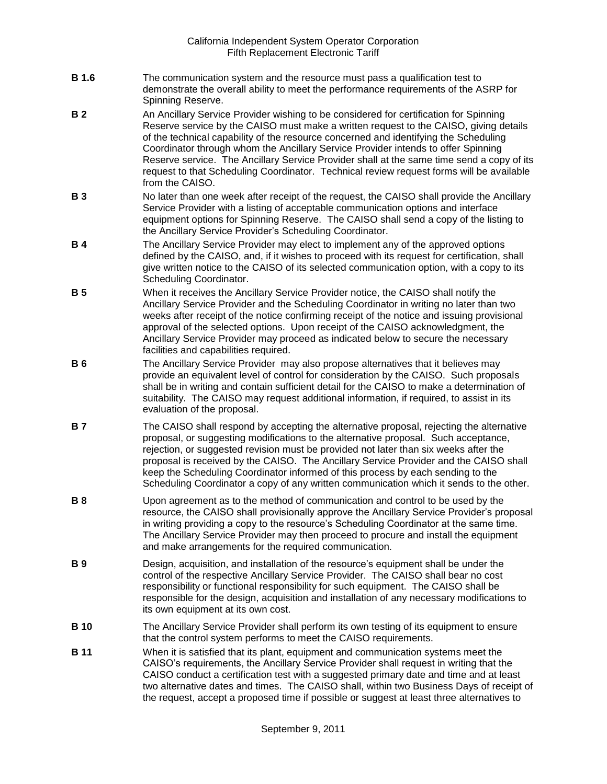- **B 1.6** The communication system and the resource must pass a qualification test to demonstrate the overall ability to meet the performance requirements of the ASRP for Spinning Reserve.
- **B 2** An Ancillary Service Provider wishing to be considered for certification for Spinning Reserve service by the CAISO must make a written request to the CAISO, giving details of the technical capability of the resource concerned and identifying the Scheduling Coordinator through whom the Ancillary Service Provider intends to offer Spinning Reserve service. The Ancillary Service Provider shall at the same time send a copy of its request to that Scheduling Coordinator. Technical review request forms will be available from the CAISO.
- **B 3** No later than one week after receipt of the request, the CAISO shall provide the Ancillary Service Provider with a listing of acceptable communication options and interface equipment options for Spinning Reserve. The CAISO shall send a copy of the listing to the Ancillary Service Provider's Scheduling Coordinator.
- **B 4** The Ancillary Service Provider may elect to implement any of the approved options defined by the CAISO, and, if it wishes to proceed with its request for certification, shall give written notice to the CAISO of its selected communication option, with a copy to its Scheduling Coordinator.
- **B 5** When it receives the Ancillary Service Provider notice, the CAISO shall notify the Ancillary Service Provider and the Scheduling Coordinator in writing no later than two weeks after receipt of the notice confirming receipt of the notice and issuing provisional approval of the selected options. Upon receipt of the CAISO acknowledgment, the Ancillary Service Provider may proceed as indicated below to secure the necessary facilities and capabilities required.
- **B 6** The Ancillary Service Provider may also propose alternatives that it believes may provide an equivalent level of control for consideration by the CAISO. Such proposals shall be in writing and contain sufficient detail for the CAISO to make a determination of suitability. The CAISO may request additional information, if required, to assist in its evaluation of the proposal.
- **B 7** The CAISO shall respond by accepting the alternative proposal, rejecting the alternative proposal, or suggesting modifications to the alternative proposal. Such acceptance, rejection, or suggested revision must be provided not later than six weeks after the proposal is received by the CAISO. The Ancillary Service Provider and the CAISO shall keep the Scheduling Coordinator informed of this process by each sending to the Scheduling Coordinator a copy of any written communication which it sends to the other.
- **B 8** Upon agreement as to the method of communication and control to be used by the resource, the CAISO shall provisionally approve the Ancillary Service Provider's proposal in writing providing a copy to the resource's Scheduling Coordinator at the same time. The Ancillary Service Provider may then proceed to procure and install the equipment and make arrangements for the required communication.
- **B 9** Design, acquisition, and installation of the resource's equipment shall be under the control of the respective Ancillary Service Provider. The CAISO shall bear no cost responsibility or functional responsibility for such equipment. The CAISO shall be responsible for the design, acquisition and installation of any necessary modifications to its own equipment at its own cost.
- **B 10** The Ancillary Service Provider shall perform its own testing of its equipment to ensure that the control system performs to meet the CAISO requirements.
- **B 11** When it is satisfied that its plant, equipment and communication systems meet the CAISO's requirements, the Ancillary Service Provider shall request in writing that the CAISO conduct a certification test with a suggested primary date and time and at least two alternative dates and times. The CAISO shall, within two Business Days of receipt of the request, accept a proposed time if possible or suggest at least three alternatives to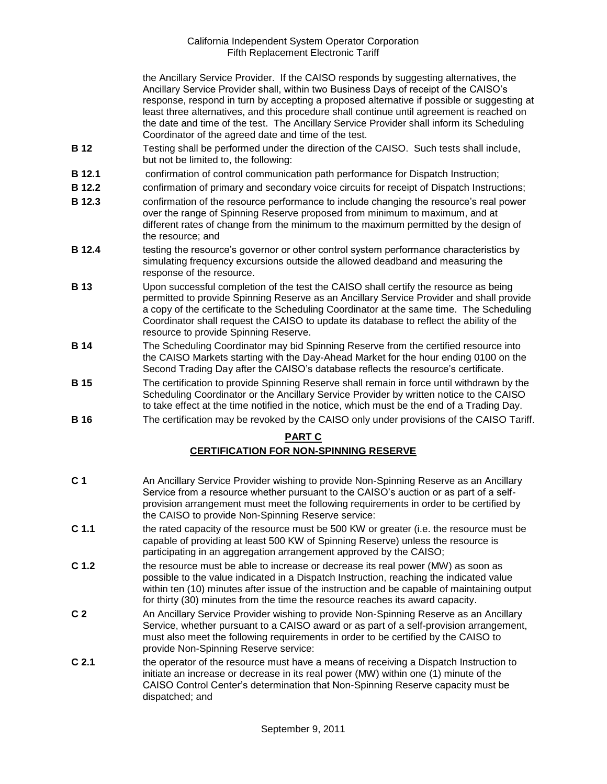the Ancillary Service Provider. If the CAISO responds by suggesting alternatives, the Ancillary Service Provider shall, within two Business Days of receipt of the CAISO's response, respond in turn by accepting a proposed alternative if possible or suggesting at least three alternatives, and this procedure shall continue until agreement is reached on the date and time of the test. The Ancillary Service Provider shall inform its Scheduling Coordinator of the agreed date and time of the test.

- **B 12** Testing shall be performed under the direction of the CAISO. Such tests shall include, but not be limited to, the following:
- **B 12.1** confirmation of control communication path performance for Dispatch Instruction;
- **B 12.2** confirmation of primary and secondary voice circuits for receipt of Dispatch Instructions;
- **B 12.3** confirmation of the resource performance to include changing the resource's real power over the range of Spinning Reserve proposed from minimum to maximum, and at different rates of change from the minimum to the maximum permitted by the design of the resource; and
- **B 12.4** testing the resource's governor or other control system performance characteristics by simulating frequency excursions outside the allowed deadband and measuring the response of the resource.
- **B 13** Upon successful completion of the test the CAISO shall certify the resource as being permitted to provide Spinning Reserve as an Ancillary Service Provider and shall provide a copy of the certificate to the Scheduling Coordinator at the same time. The Scheduling Coordinator shall request the CAISO to update its database to reflect the ability of the resource to provide Spinning Reserve.
- **B 14** The Scheduling Coordinator may bid Spinning Reserve from the certified resource into the CAISO Markets starting with the Day-Ahead Market for the hour ending 0100 on the Second Trading Day after the CAISO's database reflects the resource's certificate.
- **B 15** The certification to provide Spinning Reserve shall remain in force until withdrawn by the Scheduling Coordinator or the Ancillary Service Provider by written notice to the CAISO to take effect at the time notified in the notice, which must be the end of a Trading Day.
- **B 16** The certification may be revoked by the CAISO only under provisions of the CAISO Tariff.

## **PART C**

# **CERTIFICATION FOR NON-SPINNING RESERVE**

- **C 1** An Ancillary Service Provider wishing to provide Non-Spinning Reserve as an Ancillary Service from a resource whether pursuant to the CAISO's auction or as part of a selfprovision arrangement must meet the following requirements in order to be certified by the CAISO to provide Non-Spinning Reserve service:
- **C 1.1** the rated capacity of the resource must be 500 KW or greater (i.e. the resource must be capable of providing at least 500 KW of Spinning Reserve) unless the resource is participating in an aggregation arrangement approved by the CAISO;
- **C 1.2** the resource must be able to increase or decrease its real power (MW) as soon as possible to the value indicated in a Dispatch Instruction, reaching the indicated value within ten (10) minutes after issue of the instruction and be capable of maintaining output for thirty (30) minutes from the time the resource reaches its award capacity.
- **C 2** An Ancillary Service Provider wishing to provide Non-Spinning Reserve as an Ancillary Service, whether pursuant to a CAISO award or as part of a self-provision arrangement, must also meet the following requirements in order to be certified by the CAISO to provide Non-Spinning Reserve service:
- **C 2.1** the operator of the resource must have a means of receiving a Dispatch Instruction to initiate an increase or decrease in its real power (MW) within one (1) minute of the CAISO Control Center's determination that Non-Spinning Reserve capacity must be dispatched; and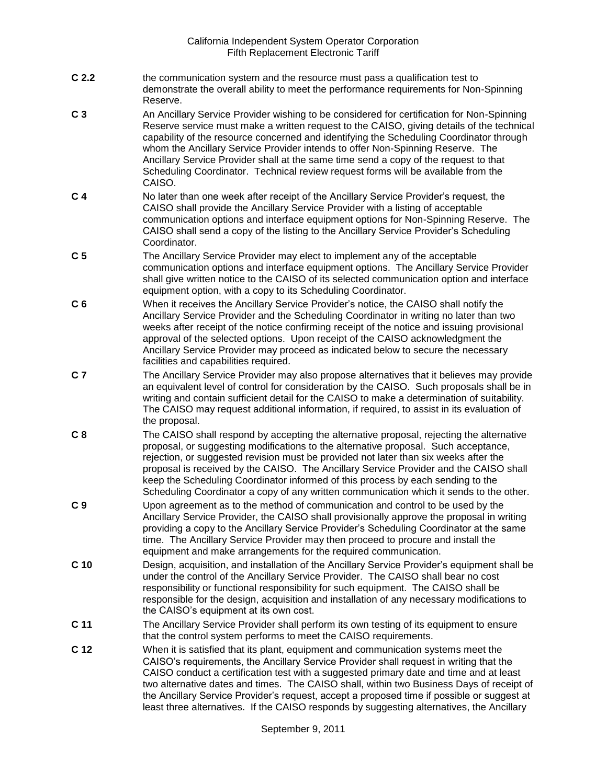- **C 2.2** the communication system and the resource must pass a qualification test to demonstrate the overall ability to meet the performance requirements for Non-Spinning Reserve.
- **C 3** An Ancillary Service Provider wishing to be considered for certification for Non-Spinning Reserve service must make a written request to the CAISO, giving details of the technical capability of the resource concerned and identifying the Scheduling Coordinator through whom the Ancillary Service Provider intends to offer Non-Spinning Reserve. The Ancillary Service Provider shall at the same time send a copy of the request to that Scheduling Coordinator. Technical review request forms will be available from the CAISO.
- **C 4** No later than one week after receipt of the Ancillary Service Provider's request, the CAISO shall provide the Ancillary Service Provider with a listing of acceptable communication options and interface equipment options for Non-Spinning Reserve. The CAISO shall send a copy of the listing to the Ancillary Service Provider's Scheduling Coordinator.
- **C 5** The Ancillary Service Provider may elect to implement any of the acceptable communication options and interface equipment options. The Ancillary Service Provider shall give written notice to the CAISO of its selected communication option and interface equipment option, with a copy to its Scheduling Coordinator.
- **C 6** When it receives the Ancillary Service Provider's notice, the CAISO shall notify the Ancillary Service Provider and the Scheduling Coordinator in writing no later than two weeks after receipt of the notice confirming receipt of the notice and issuing provisional approval of the selected options. Upon receipt of the CAISO acknowledgment the Ancillary Service Provider may proceed as indicated below to secure the necessary facilities and capabilities required.
- **C 7** The Ancillary Service Provider may also propose alternatives that it believes may provide an equivalent level of control for consideration by the CAISO. Such proposals shall be in writing and contain sufficient detail for the CAISO to make a determination of suitability. The CAISO may request additional information, if required, to assist in its evaluation of the proposal.
- **C 8** The CAISO shall respond by accepting the alternative proposal, rejecting the alternative proposal, or suggesting modifications to the alternative proposal. Such acceptance, rejection, or suggested revision must be provided not later than six weeks after the proposal is received by the CAISO. The Ancillary Service Provider and the CAISO shall keep the Scheduling Coordinator informed of this process by each sending to the Scheduling Coordinator a copy of any written communication which it sends to the other.
- **C 9** Upon agreement as to the method of communication and control to be used by the Ancillary Service Provider, the CAISO shall provisionally approve the proposal in writing providing a copy to the Ancillary Service Provider's Scheduling Coordinator at the same time. The Ancillary Service Provider may then proceed to procure and install the equipment and make arrangements for the required communication.
- **C 10** Design, acquisition, and installation of the Ancillary Service Provider's equipment shall be under the control of the Ancillary Service Provider. The CAISO shall bear no cost responsibility or functional responsibility for such equipment. The CAISO shall be responsible for the design, acquisition and installation of any necessary modifications to the CAISO's equipment at its own cost.
- **C 11** The Ancillary Service Provider shall perform its own testing of its equipment to ensure that the control system performs to meet the CAISO requirements.
- **C 12** When it is satisfied that its plant, equipment and communication systems meet the CAISO's requirements, the Ancillary Service Provider shall request in writing that the CAISO conduct a certification test with a suggested primary date and time and at least two alternative dates and times. The CAISO shall, within two Business Days of receipt of the Ancillary Service Provider's request, accept a proposed time if possible or suggest at least three alternatives. If the CAISO responds by suggesting alternatives, the Ancillary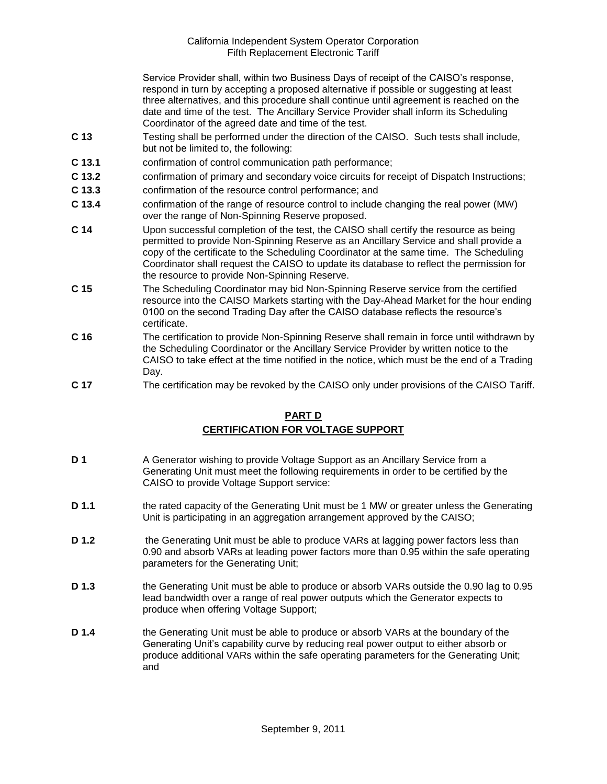Service Provider shall, within two Business Days of receipt of the CAISO's response, respond in turn by accepting a proposed alternative if possible or suggesting at least three alternatives, and this procedure shall continue until agreement is reached on the date and time of the test. The Ancillary Service Provider shall inform its Scheduling Coordinator of the agreed date and time of the test.

- **C 13** Testing shall be performed under the direction of the CAISO. Such tests shall include, but not be limited to, the following:
- **C 13.1** confirmation of control communication path performance;
- **C 13.2** confirmation of primary and secondary voice circuits for receipt of Dispatch Instructions;
- **C 13.3** confirmation of the resource control performance; and
- **C 13.4** confirmation of the range of resource control to include changing the real power (MW) over the range of Non-Spinning Reserve proposed.
- **C 14** Upon successful completion of the test, the CAISO shall certify the resource as being permitted to provide Non-Spinning Reserve as an Ancillary Service and shall provide a copy of the certificate to the Scheduling Coordinator at the same time. The Scheduling Coordinator shall request the CAISO to update its database to reflect the permission for the resource to provide Non-Spinning Reserve.
- **C 15** The Scheduling Coordinator may bid Non-Spinning Reserve service from the certified resource into the CAISO Markets starting with the Day-Ahead Market for the hour ending 0100 on the second Trading Day after the CAISO database reflects the resource's certificate.
- **C 16** The certification to provide Non-Spinning Reserve shall remain in force until withdrawn by the Scheduling Coordinator or the Ancillary Service Provider by written notice to the CAISO to take effect at the time notified in the notice, which must be the end of a Trading Day.
- **C 17** The certification may be revoked by the CAISO only under provisions of the CAISO Tariff.

# **PART D CERTIFICATION FOR VOLTAGE SUPPORT**

- **D 1** A Generator wishing to provide Voltage Support as an Ancillary Service from a Generating Unit must meet the following requirements in order to be certified by the CAISO to provide Voltage Support service:
- **D 1.1** the rated capacity of the Generating Unit must be 1 MW or greater unless the Generating Unit is participating in an aggregation arrangement approved by the CAISO;
- **D 1.2** the Generating Unit must be able to produce VARs at lagging power factors less than 0.90 and absorb VARs at leading power factors more than 0.95 within the safe operating parameters for the Generating Unit;
- **D 1.3** the Generating Unit must be able to produce or absorb VARs outside the 0.90 lag to 0.95 lead bandwidth over a range of real power outputs which the Generator expects to produce when offering Voltage Support;
- **D 1.4** the Generating Unit must be able to produce or absorb VARs at the boundary of the Generating Unit's capability curve by reducing real power output to either absorb or produce additional VARs within the safe operating parameters for the Generating Unit; and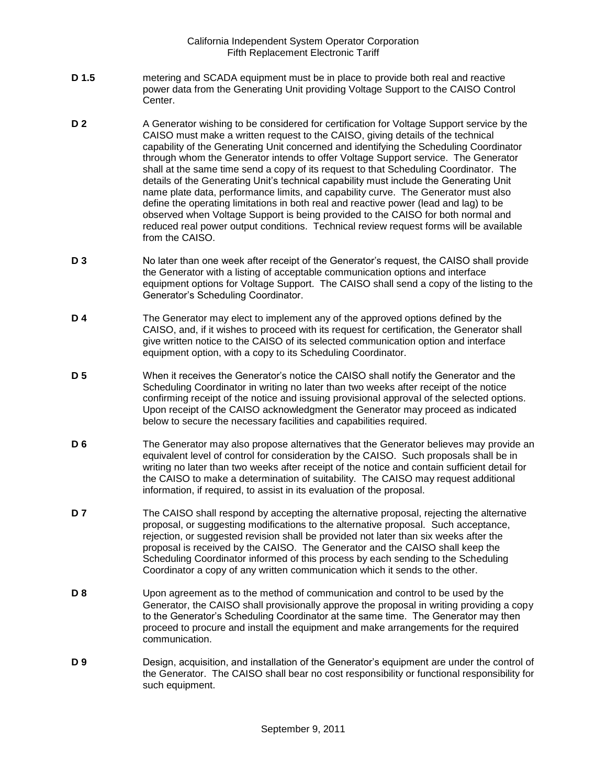- **D 1.5** metering and SCADA equipment must be in place to provide both real and reactive power data from the Generating Unit providing Voltage Support to the CAISO Control Center.
- **D 2** A Generator wishing to be considered for certification for Voltage Support service by the CAISO must make a written request to the CAISO, giving details of the technical capability of the Generating Unit concerned and identifying the Scheduling Coordinator through whom the Generator intends to offer Voltage Support service. The Generator shall at the same time send a copy of its request to that Scheduling Coordinator. The details of the Generating Unit's technical capability must include the Generating Unit name plate data, performance limits, and capability curve. The Generator must also define the operating limitations in both real and reactive power (lead and lag) to be observed when Voltage Support is being provided to the CAISO for both normal and reduced real power output conditions. Technical review request forms will be available from the CAISO.
- **D 3** No later than one week after receipt of the Generator's request, the CAISO shall provide the Generator with a listing of acceptable communication options and interface equipment options for Voltage Support. The CAISO shall send a copy of the listing to the Generator's Scheduling Coordinator.
- **D 4** The Generator may elect to implement any of the approved options defined by the CAISO, and, if it wishes to proceed with its request for certification, the Generator shall give written notice to the CAISO of its selected communication option and interface equipment option, with a copy to its Scheduling Coordinator.
- **D 5** When it receives the Generator's notice the CAISO shall notify the Generator and the Scheduling Coordinator in writing no later than two weeks after receipt of the notice confirming receipt of the notice and issuing provisional approval of the selected options. Upon receipt of the CAISO acknowledgment the Generator may proceed as indicated below to secure the necessary facilities and capabilities required.
- **D 6** The Generator may also propose alternatives that the Generator believes may provide an equivalent level of control for consideration by the CAISO. Such proposals shall be in writing no later than two weeks after receipt of the notice and contain sufficient detail for the CAISO to make a determination of suitability. The CAISO may request additional information, if required, to assist in its evaluation of the proposal.
- **D 7** The CAISO shall respond by accepting the alternative proposal, rejecting the alternative proposal, or suggesting modifications to the alternative proposal. Such acceptance, rejection, or suggested revision shall be provided not later than six weeks after the proposal is received by the CAISO. The Generator and the CAISO shall keep the Scheduling Coordinator informed of this process by each sending to the Scheduling Coordinator a copy of any written communication which it sends to the other.
- **D 8** Upon agreement as to the method of communication and control to be used by the Generator, the CAISO shall provisionally approve the proposal in writing providing a copy to the Generator's Scheduling Coordinator at the same time. The Generator may then proceed to procure and install the equipment and make arrangements for the required communication.
- **D 9** Design, acquisition, and installation of the Generator's equipment are under the control of the Generator. The CAISO shall bear no cost responsibility or functional responsibility for such equipment.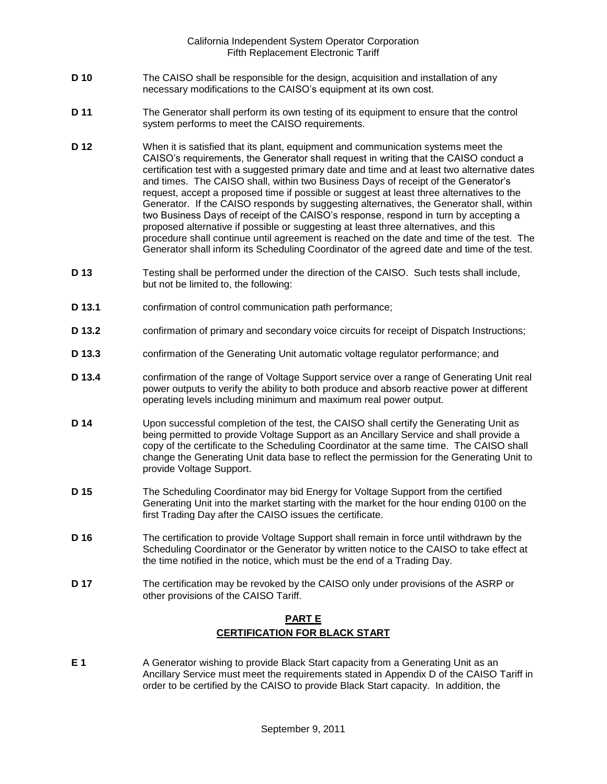- **D 10** The CAISO shall be responsible for the design, acquisition and installation of any necessary modifications to the CAISO's equipment at its own cost.
- **D 11** The Generator shall perform its own testing of its equipment to ensure that the control system performs to meet the CAISO requirements.
- **D 12** When it is satisfied that its plant, equipment and communication systems meet the CAISO's requirements, the Generator shall request in writing that the CAISO conduct a certification test with a suggested primary date and time and at least two alternative dates and times. The CAISO shall, within two Business Days of receipt of the Generator's request, accept a proposed time if possible or suggest at least three alternatives to the Generator. If the CAISO responds by suggesting alternatives, the Generator shall, within two Business Days of receipt of the CAISO's response, respond in turn by accepting a proposed alternative if possible or suggesting at least three alternatives, and this procedure shall continue until agreement is reached on the date and time of the test. The Generator shall inform its Scheduling Coordinator of the agreed date and time of the test.
- **D 13** Testing shall be performed under the direction of the CAISO. Such tests shall include, but not be limited to, the following:
- **D 13.1** confirmation of control communication path performance;
- **D 13.2** confirmation of primary and secondary voice circuits for receipt of Dispatch Instructions;
- **D 13.3** confirmation of the Generating Unit automatic voltage regulator performance; and
- **D 13.4** confirmation of the range of Voltage Support service over a range of Generating Unit real power outputs to verify the ability to both produce and absorb reactive power at different operating levels including minimum and maximum real power output.
- **D 14** Upon successful completion of the test, the CAISO shall certify the Generating Unit as being permitted to provide Voltage Support as an Ancillary Service and shall provide a copy of the certificate to the Scheduling Coordinator at the same time. The CAISO shall change the Generating Unit data base to reflect the permission for the Generating Unit to provide Voltage Support.
- **D 15** The Scheduling Coordinator may bid Energy for Voltage Support from the certified Generating Unit into the market starting with the market for the hour ending 0100 on the first Trading Day after the CAISO issues the certificate.
- **D 16** The certification to provide Voltage Support shall remain in force until withdrawn by the Scheduling Coordinator or the Generator by written notice to the CAISO to take effect at the time notified in the notice, which must be the end of a Trading Day.
- **D 17** The certification may be revoked by the CAISO only under provisions of the ASRP or other provisions of the CAISO Tariff.

# **PART E CERTIFICATION FOR BLACK START**

**E 1** A Generator wishing to provide Black Start capacity from a Generating Unit as an Ancillary Service must meet the requirements stated in Appendix D of the CAISO Tariff in order to be certified by the CAISO to provide Black Start capacity. In addition, the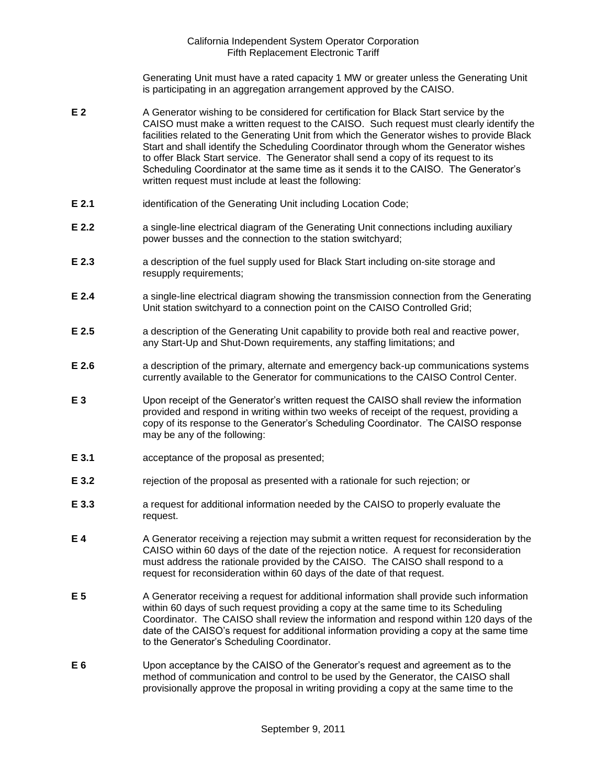Generating Unit must have a rated capacity 1 MW or greater unless the Generating Unit is participating in an aggregation arrangement approved by the CAISO.

- **E 2** A Generator wishing to be considered for certification for Black Start service by the CAISO must make a written request to the CAISO. Such request must clearly identify the facilities related to the Generating Unit from which the Generator wishes to provide Black Start and shall identify the Scheduling Coordinator through whom the Generator wishes to offer Black Start service. The Generator shall send a copy of its request to its Scheduling Coordinator at the same time as it sends it to the CAISO. The Generator's written request must include at least the following:
- **E 2.1** identification of the Generating Unit including Location Code;
- **E 2.2 a** single-line electrical diagram of the Generating Unit connections including auxiliary power busses and the connection to the station switchyard;
- **E 2.3** a description of the fuel supply used for Black Start including on-site storage and resupply requirements;
- **E 2.4** a single-line electrical diagram showing the transmission connection from the Generating Unit station switchyard to a connection point on the CAISO Controlled Grid;
- **E 2.5** a description of the Generating Unit capability to provide both real and reactive power, any Start-Up and Shut-Down requirements, any staffing limitations; and
- **E 2.6** a description of the primary, alternate and emergency back-up communications systems currently available to the Generator for communications to the CAISO Control Center.
- **E 3** Upon receipt of the Generator's written request the CAISO shall review the information provided and respond in writing within two weeks of receipt of the request, providing a copy of its response to the Generator's Scheduling Coordinator. The CAISO response may be any of the following:
- **E 3.1** acceptance of the proposal as presented;
- **E 3.2** rejection of the proposal as presented with a rationale for such rejection; or
- **E 3.3 a** request for additional information needed by the CAISO to properly evaluate the request.
- **E 4** A Generator receiving a rejection may submit a written request for reconsideration by the CAISO within 60 days of the date of the rejection notice. A request for reconsideration must address the rationale provided by the CAISO. The CAISO shall respond to a request for reconsideration within 60 days of the date of that request.
- **E 5** A Generator receiving a request for additional information shall provide such information within 60 days of such request providing a copy at the same time to its Scheduling Coordinator. The CAISO shall review the information and respond within 120 days of the date of the CAISO's request for additional information providing a copy at the same time to the Generator's Scheduling Coordinator.
- **E 6** Upon acceptance by the CAISO of the Generator's request and agreement as to the method of communication and control to be used by the Generator, the CAISO shall provisionally approve the proposal in writing providing a copy at the same time to the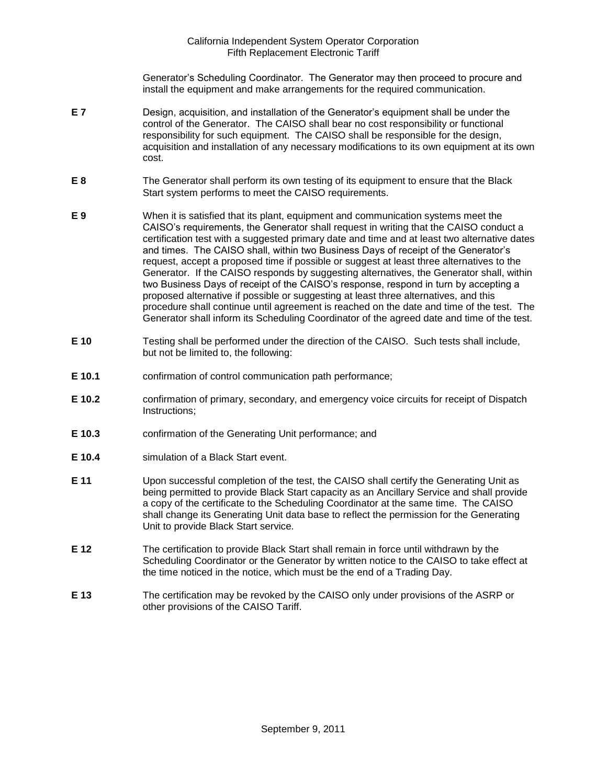Generator's Scheduling Coordinator. The Generator may then proceed to procure and install the equipment and make arrangements for the required communication.

- **E 7** Design, acquisition, and installation of the Generator's equipment shall be under the control of the Generator. The CAISO shall bear no cost responsibility or functional responsibility for such equipment. The CAISO shall be responsible for the design, acquisition and installation of any necessary modifications to its own equipment at its own cost.
- **E 8** The Generator shall perform its own testing of its equipment to ensure that the Black Start system performs to meet the CAISO requirements.
- **E 9** When it is satisfied that its plant, equipment and communication systems meet the CAISO's requirements, the Generator shall request in writing that the CAISO conduct a certification test with a suggested primary date and time and at least two alternative dates and times. The CAISO shall, within two Business Days of receipt of the Generator's request, accept a proposed time if possible or suggest at least three alternatives to the Generator. If the CAISO responds by suggesting alternatives, the Generator shall, within two Business Days of receipt of the CAISO's response, respond in turn by accepting a proposed alternative if possible or suggesting at least three alternatives, and this procedure shall continue until agreement is reached on the date and time of the test. The Generator shall inform its Scheduling Coordinator of the agreed date and time of the test.
- **E 10** Testing shall be performed under the direction of the CAISO. Such tests shall include, but not be limited to, the following:
- **E 10.1** confirmation of control communication path performance;
- **E 10.2** confirmation of primary, secondary, and emergency voice circuits for receipt of Dispatch Instructions;
- **E 10.3** confirmation of the Generating Unit performance; and
- **E 10.4** simulation of a Black Start event.
- **E 11** Upon successful completion of the test, the CAISO shall certify the Generating Unit as being permitted to provide Black Start capacity as an Ancillary Service and shall provide a copy of the certificate to the Scheduling Coordinator at the same time. The CAISO shall change its Generating Unit data base to reflect the permission for the Generating Unit to provide Black Start service.
- **E 12** The certification to provide Black Start shall remain in force until withdrawn by the Scheduling Coordinator or the Generator by written notice to the CAISO to take effect at the time noticed in the notice, which must be the end of a Trading Day.
- **E 13** The certification may be revoked by the CAISO only under provisions of the ASRP or other provisions of the CAISO Tariff.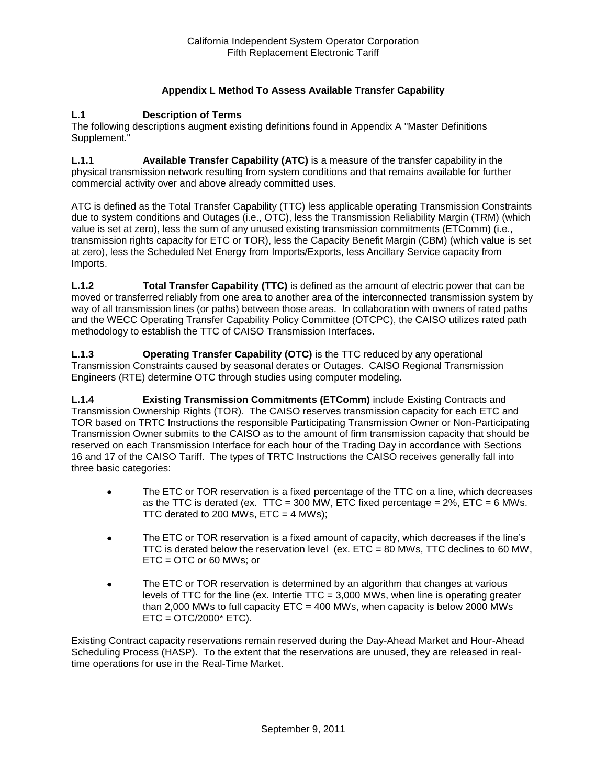# **Appendix L Method To Assess Available Transfer Capability**

### **L.1 Description of Terms**

The following descriptions augment existing definitions found in Appendix A "Master Definitions Supplement."

**L.1.1 Available Transfer Capability (ATC)** is a measure of the transfer capability in the physical transmission network resulting from system conditions and that remains available for further commercial activity over and above already committed uses.

ATC is defined as the Total Transfer Capability (TTC) less applicable operating Transmission Constraints due to system conditions and Outages (i.e., OTC), less the Transmission Reliability Margin (TRM) (which value is set at zero), less the sum of any unused existing transmission commitments (ETComm) (i.e., transmission rights capacity for ETC or TOR), less the Capacity Benefit Margin (CBM) (which value is set at zero), less the Scheduled Net Energy from Imports/Exports, less Ancillary Service capacity from Imports.

**L.1.2 Total Transfer Capability (TTC)** is defined as the amount of electric power that can be moved or transferred reliably from one area to another area of the interconnected transmission system by way of all transmission lines (or paths) between those areas. In collaboration with owners of rated paths and the WECC Operating Transfer Capability Policy Committee (OTCPC), the CAISO utilizes rated path methodology to establish the TTC of CAISO Transmission Interfaces.

**L.1.3 Operating Transfer Capability (OTC)** is the TTC reduced by any operational Transmission Constraints caused by seasonal derates or Outages. CAISO Regional Transmission Engineers (RTE) determine OTC through studies using computer modeling.

**L.1.4 Existing Transmission Commitments (ETComm)** include Existing Contracts and Transmission Ownership Rights (TOR). The CAISO reserves transmission capacity for each ETC and TOR based on TRTC Instructions the responsible Participating Transmission Owner or Non-Participating Transmission Owner submits to the CAISO as to the amount of firm transmission capacity that should be reserved on each Transmission Interface for each hour of the Trading Day in accordance with Sections 16 and 17 of the CAISO Tariff. The types of TRTC Instructions the CAISO receives generally fall into three basic categories:

- The ETC or TOR reservation is a fixed percentage of the TTC on a line, which decreases as the TTC is derated (ex. TTC = 300 MW, ETC fixed percentage =  $2\%$ , ETC = 6 MWs. TTC derated to 200 MWs,  $ETC = 4$  MWs);
- The ETC or TOR reservation is a fixed amount of capacity, which decreases if the line's TTC is derated below the reservation level (ex. ETC = 80 MWs, TTC declines to 60 MW, ETC = OTC or 60 MWs; or
- The ETC or TOR reservation is determined by an algorithm that changes at various levels of TTC for the line (ex. Intertie TTC = 3,000 MWs, when line is operating greater than 2,000 MWs to full capacity  $ETC = 400$  MWs, when capacity is below 2000 MWs  $ETC = OTC/2000* ETC$ ).

Existing Contract capacity reservations remain reserved during the Day-Ahead Market and Hour-Ahead Scheduling Process (HASP). To the extent that the reservations are unused, they are released in realtime operations for use in the Real-Time Market.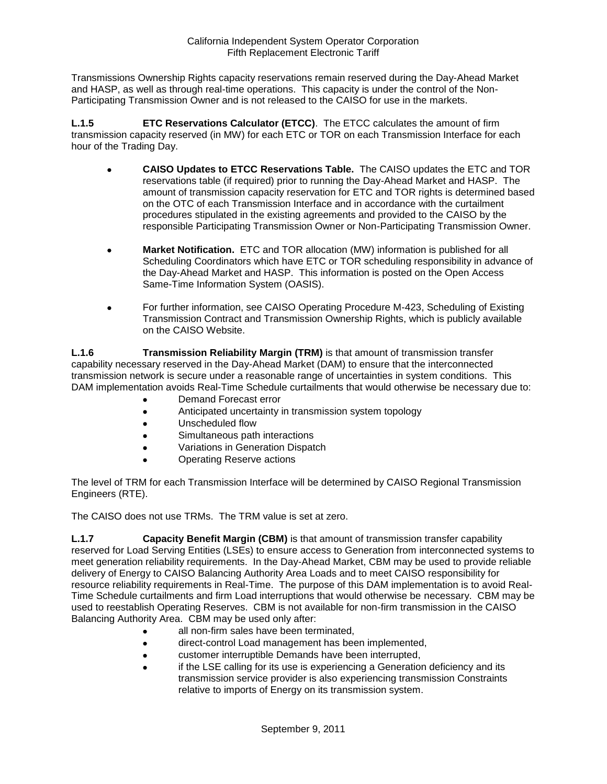Transmissions Ownership Rights capacity reservations remain reserved during the Day-Ahead Market and HASP, as well as through real-time operations. This capacity is under the control of the Non-Participating Transmission Owner and is not released to the CAISO for use in the markets.

**L.1.5 ETC Reservations Calculator (ETCC)**. The ETCC calculates the amount of firm transmission capacity reserved (in MW) for each ETC or TOR on each Transmission Interface for each hour of the Trading Day.

- **CAISO Updates to ETCC Reservations Table.** The CAISO updates the ETC and TOR reservations table (if required) prior to running the Day-Ahead Market and HASP. The amount of transmission capacity reservation for ETC and TOR rights is determined based on the OTC of each Transmission Interface and in accordance with the curtailment procedures stipulated in the existing agreements and provided to the CAISO by the responsible Participating Transmission Owner or Non-Participating Transmission Owner.
- **Market Notification.** ETC and TOR allocation (MW) information is published for all Scheduling Coordinators which have ETC or TOR scheduling responsibility in advance of the Day-Ahead Market and HASP. This information is posted on the Open Access Same-Time Information System (OASIS).
- For further information, see CAISO Operating Procedure M-423, Scheduling of Existing Transmission Contract and Transmission Ownership Rights, which is publicly available on the CAISO Website.

**L.1.6 Transmission Reliability Margin (TRM)** is that amount of transmission transfer capability necessary reserved in the Day-Ahead Market (DAM) to ensure that the interconnected transmission network is secure under a reasonable range of uncertainties in system conditions. This DAM implementation avoids Real-Time Schedule curtailments that would otherwise be necessary due to:

- Demand Forecast error
- Anticipated uncertainty in transmission system topology
- Unscheduled flow
- Simultaneous path interactions
- Variations in Generation Dispatch
- Operating Reserve actions

The level of TRM for each Transmission Interface will be determined by CAISO Regional Transmission Engineers (RTE).

The CAISO does not use TRMs. The TRM value is set at zero.

**L.1.7 Capacity Benefit Margin (CBM)** is that amount of transmission transfer capability reserved for Load Serving Entities (LSEs) to ensure access to Generation from interconnected systems to meet generation reliability requirements. In the Day-Ahead Market, CBM may be used to provide reliable delivery of Energy to CAISO Balancing Authority Area Loads and to meet CAISO responsibility for resource reliability requirements in Real-Time. The purpose of this DAM implementation is to avoid Real-Time Schedule curtailments and firm Load interruptions that would otherwise be necessary. CBM may be used to reestablish Operating Reserves. CBM is not available for non-firm transmission in the CAISO Balancing Authority Area. CBM may be used only after:

- all non-firm sales have been terminated,
- direct-control Load management has been implemented,
- customer interruptible Demands have been interrupted,
- if the LSE calling for its use is experiencing a Generation deficiency and its transmission service provider is also experiencing transmission Constraints relative to imports of Energy on its transmission system.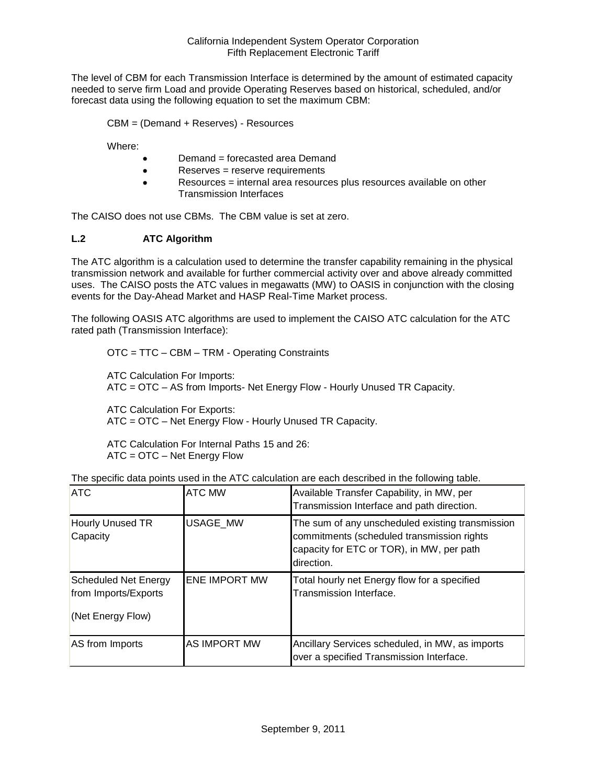The level of CBM for each Transmission Interface is determined by the amount of estimated capacity needed to serve firm Load and provide Operating Reserves based on historical, scheduled, and/or forecast data using the following equation to set the maximum CBM:

CBM = (Demand + Reserves) - Resources

Where:

- Demand = forecasted area Demand
- Reserves = reserve requirements
- Resources = internal area resources plus resources available on other Transmission Interfaces

The CAISO does not use CBMs. The CBM value is set at zero.

# **L.2 ATC Algorithm**

The ATC algorithm is a calculation used to determine the transfer capability remaining in the physical transmission network and available for further commercial activity over and above already committed uses. The CAISO posts the ATC values in megawatts (MW) to OASIS in conjunction with the closing events for the Day-Ahead Market and HASP Real-Time Market process.

The following OASIS ATC algorithms are used to implement the CAISO ATC calculation for the ATC rated path (Transmission Interface):

OTC = TTC – CBM – TRM - Operating Constraints

ATC Calculation For Imports: ATC = OTC – AS from Imports- Net Energy Flow - Hourly Unused TR Capacity.

ATC Calculation For Exports: ATC = OTC – Net Energy Flow - Hourly Unused TR Capacity.

ATC Calculation For Internal Paths 15 and 26: ATC = OTC – Net Energy Flow

| <b>ATC</b>                                                               | <b>ATC MW</b>        | Available Transfer Capability, in MW, per<br>Transmission Interface and path direction.                                                                   |
|--------------------------------------------------------------------------|----------------------|-----------------------------------------------------------------------------------------------------------------------------------------------------------|
| Hourly Unused TR<br>Capacity                                             | <b>USAGE MW</b>      | The sum of any unscheduled existing transmission<br>commitments (scheduled transmission rights<br>capacity for ETC or TOR), in MW, per path<br>direction. |
| <b>Scheduled Net Energy</b><br>from Imports/Exports<br>(Net Energy Flow) | <b>ENE IMPORT MW</b> | Total hourly net Energy flow for a specified<br>Transmission Interface.                                                                                   |
| AS from Imports                                                          | AS IMPORT MW         | Ancillary Services scheduled, in MW, as imports<br>over a specified Transmission Interface.                                                               |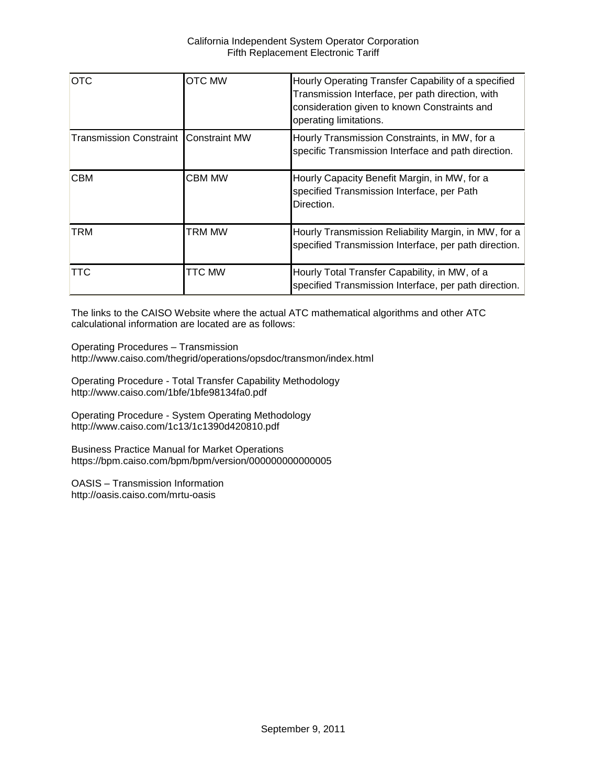| <b>OTC</b>                                     | <b>OTC MW</b> | Hourly Operating Transfer Capability of a specified<br>Transmission Interface, per path direction, with<br>consideration given to known Constraints and<br>operating limitations. |
|------------------------------------------------|---------------|-----------------------------------------------------------------------------------------------------------------------------------------------------------------------------------|
| <b>Transmission Constraint I Constraint MW</b> |               | Hourly Transmission Constraints, in MW, for a<br>specific Transmission Interface and path direction.                                                                              |
| <b>CBM</b>                                     | <b>CBM MW</b> | Hourly Capacity Benefit Margin, in MW, for a<br>specified Transmission Interface, per Path<br>Direction.                                                                          |
| <b>TRM</b>                                     | TRM MW        | Hourly Transmission Reliability Margin, in MW, for a<br>specified Transmission Interface, per path direction.                                                                     |
| TTC                                            | TTC MW        | Hourly Total Transfer Capability, in MW, of a<br>specified Transmission Interface, per path direction.                                                                            |

The links to the CAISO Website where the actual ATC mathematical algorithms and other ATC calculational information are located are as follows:

Operating Procedures – Transmission http://www.caiso.com/thegrid/operations/opsdoc/transmon/index.html

Operating Procedure - Total Transfer Capability Methodology http://www.caiso.com/1bfe/1bfe98134fa0.pdf

Operating Procedure - System Operating Methodology http://www.caiso.com/1c13/1c1390d420810.pdf

Business Practice Manual for Market Operations https://bpm.caiso.com/bpm/bpm/version/000000000000005

OASIS – Transmission Information http://oasis.caiso.com/mrtu-oasis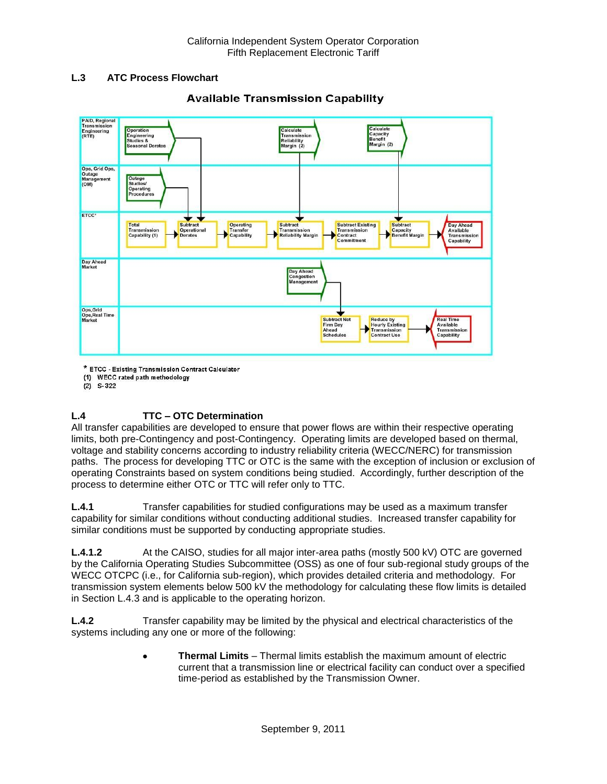# **L.3 ATC Process Flowchart**



# **Available Transmission Capability**

\* ETCC - Existing Transmission Contract Calculator

(1) WECC rated path methodology

 $(2)$  S-322

# **L.4 TTC – OTC Determination**

All transfer capabilities are developed to ensure that power flows are within their respective operating limits, both pre-Contingency and post-Contingency. Operating limits are developed based on thermal, voltage and stability concerns according to industry reliability criteria (WECC/NERC) for transmission paths. The process for developing TTC or OTC is the same with the exception of inclusion or exclusion of operating Constraints based on system conditions being studied. Accordingly, further description of the process to determine either OTC or TTC will refer only to TTC.

**L.4.1** Transfer capabilities for studied configurations may be used as a maximum transfer capability for similar conditions without conducting additional studies. Increased transfer capability for similar conditions must be supported by conducting appropriate studies.

**L.4.1.2** At the CAISO, studies for all major inter-area paths (mostly 500 kV) OTC are governed by the California Operating Studies Subcommittee (OSS) as one of four sub-regional study groups of the WECC OTCPC (i.e., for California sub-region), which provides detailed criteria and methodology. For transmission system elements below 500 kV the methodology for calculating these flow limits is detailed in Section L.4.3 and is applicable to the operating horizon.

**L.4.2** Transfer capability may be limited by the physical and electrical characteristics of the systems including any one or more of the following:

> **Thermal Limits** – Thermal limits establish the maximum amount of electric current that a transmission line or electrical facility can conduct over a specified time-period as established by the Transmission Owner.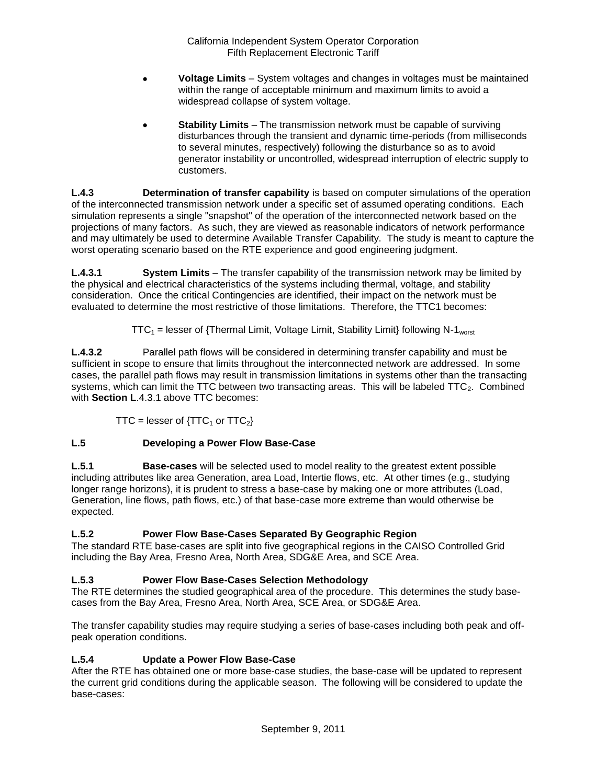- **Voltage Limits** System voltages and changes in voltages must be maintained within the range of acceptable minimum and maximum limits to avoid a widespread collapse of system voltage.
- **Stability Limits** The transmission network must be capable of surviving disturbances through the transient and dynamic time-periods (from milliseconds to several minutes, respectively) following the disturbance so as to avoid generator instability or uncontrolled, widespread interruption of electric supply to customers.

**L.4.3 Determination of transfer capability** is based on computer simulations of the operation of the interconnected transmission network under a specific set of assumed operating conditions. Each simulation represents a single "snapshot" of the operation of the interconnected network based on the projections of many factors. As such, they are viewed as reasonable indicators of network performance and may ultimately be used to determine Available Transfer Capability. The study is meant to capture the worst operating scenario based on the RTE experience and good engineering judgment.

**L.4.3.1 System Limits** – The transfer capability of the transmission network may be limited by the physical and electrical characteristics of the systems including thermal, voltage, and stability consideration. Once the critical Contingencies are identified, their impact on the network must be evaluated to determine the most restrictive of those limitations. Therefore, the TTC1 becomes:

 $TTC_1$  = lesser of {Thermal Limit, Voltage Limit, Stability Limit} following N-1<sub>worst</sub>

**L.4.3.2** Parallel path flows will be considered in determining transfer capability and must be sufficient in scope to ensure that limits throughout the interconnected network are addressed. In some cases, the parallel path flows may result in transmission limitations in systems other than the transacting systems, which can limit the TTC between two transacting areas. This will be labeled  $TTC_2$ . Combined with **Section L**.4.3.1 above TTC becomes:

TTC = lesser of  $\{TTC_1$  or  $TTC_2\}$ 

# **L.5 Developing a Power Flow Base-Case**

**L.5.1 Base-cases** will be selected used to model reality to the greatest extent possible including attributes like area Generation, area Load, Intertie flows, etc. At other times (e.g., studying longer range horizons), it is prudent to stress a base-case by making one or more attributes (Load, Generation, line flows, path flows, etc.) of that base-case more extreme than would otherwise be expected.

# **L.5.2 Power Flow Base-Cases Separated By Geographic Region**

The standard RTE base-cases are split into five geographical regions in the CAISO Controlled Grid including the Bay Area, Fresno Area, North Area, SDG&E Area, and SCE Area.

# **L.5.3 Power Flow Base-Cases Selection Methodology**

The RTE determines the studied geographical area of the procedure. This determines the study basecases from the Bay Area, Fresno Area, North Area, SCE Area, or SDG&E Area.

The transfer capability studies may require studying a series of base-cases including both peak and offpeak operation conditions.

# **L.5.4 Update a Power Flow Base-Case**

After the RTE has obtained one or more base-case studies, the base-case will be updated to represent the current grid conditions during the applicable season. The following will be considered to update the base-cases: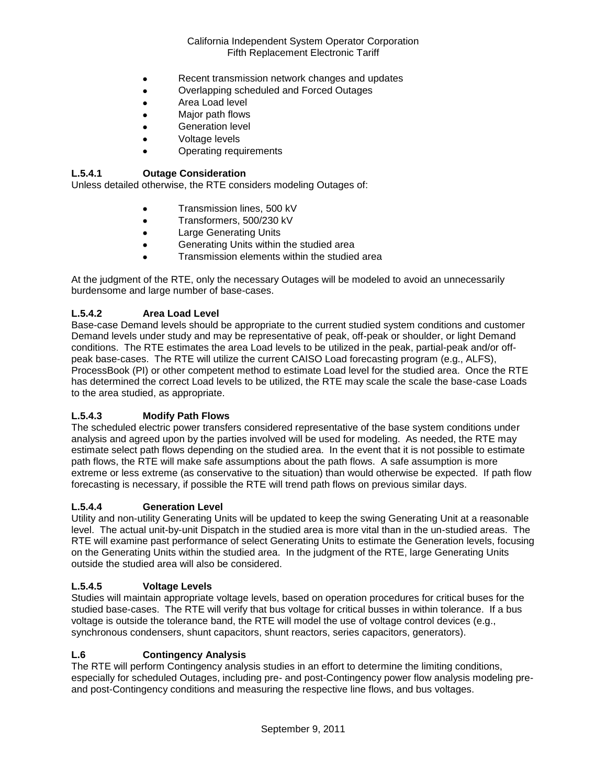- Recent transmission network changes and updates
- Overlapping scheduled and Forced Outages
- Area Load level
- Major path flows
- Generation level
- Voltage levels
- Operating requirements

## **L.5.4.1 Outage Consideration**

Unless detailed otherwise, the RTE considers modeling Outages of:

- **•** Transmission lines, 500 kV
- **Transformers, 500/230 kV**
- **•** Large Generating Units
- Generating Units within the studied area
- Transmission elements within the studied area

At the judgment of the RTE, only the necessary Outages will be modeled to avoid an unnecessarily burdensome and large number of base-cases.

### **L.5.4.2 Area Load Level**

Base-case Demand levels should be appropriate to the current studied system conditions and customer Demand levels under study and may be representative of peak, off-peak or shoulder, or light Demand conditions. The RTE estimates the area Load levels to be utilized in the peak, partial-peak and/or offpeak base-cases. The RTE will utilize the current CAISO Load forecasting program (e.g., ALFS), ProcessBook (PI) or other competent method to estimate Load level for the studied area. Once the RTE has determined the correct Load levels to be utilized, the RTE may scale the scale the base-case Loads to the area studied, as appropriate.

### **L.5.4.3 Modify Path Flows**

The scheduled electric power transfers considered representative of the base system conditions under analysis and agreed upon by the parties involved will be used for modeling. As needed, the RTE may estimate select path flows depending on the studied area. In the event that it is not possible to estimate path flows, the RTE will make safe assumptions about the path flows. A safe assumption is more extreme or less extreme (as conservative to the situation) than would otherwise be expected. If path flow forecasting is necessary, if possible the RTE will trend path flows on previous similar days.

#### **L.5.4.4 Generation Level**

Utility and non-utility Generating Units will be updated to keep the swing Generating Unit at a reasonable level. The actual unit-by-unit Dispatch in the studied area is more vital than in the un-studied areas. The RTE will examine past performance of select Generating Units to estimate the Generation levels, focusing on the Generating Units within the studied area. In the judgment of the RTE, large Generating Units outside the studied area will also be considered.

### **L.5.4.5 Voltage Levels**

Studies will maintain appropriate voltage levels, based on operation procedures for critical buses for the studied base-cases. The RTE will verify that bus voltage for critical busses in within tolerance. If a bus voltage is outside the tolerance band, the RTE will model the use of voltage control devices (e.g., synchronous condensers, shunt capacitors, shunt reactors, series capacitors, generators).

#### **L.6 Contingency Analysis**

The RTE will perform Contingency analysis studies in an effort to determine the limiting conditions, especially for scheduled Outages, including pre- and post-Contingency power flow analysis modeling preand post-Contingency conditions and measuring the respective line flows, and bus voltages.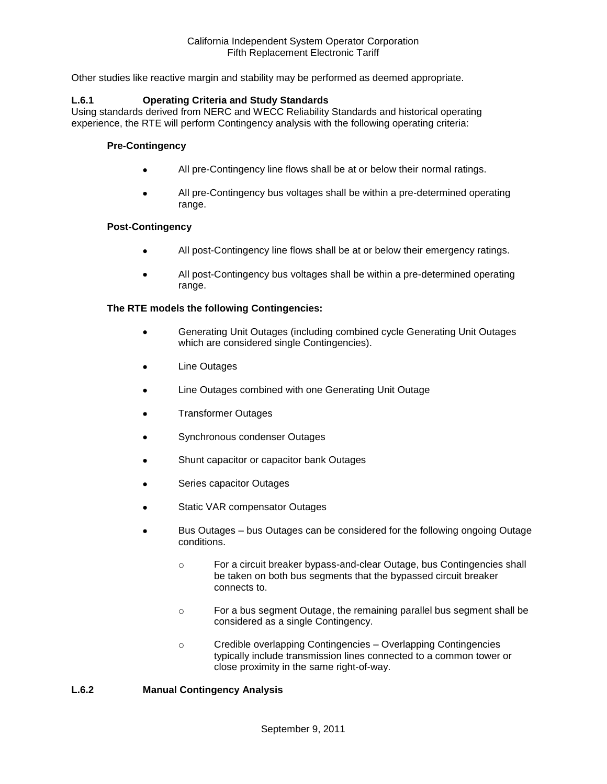Other studies like reactive margin and stability may be performed as deemed appropriate.

### **L.6.1 Operating Criteria and Study Standards**

Using standards derived from NERC and WECC Reliability Standards and historical operating experience, the RTE will perform Contingency analysis with the following operating criteria:

#### **Pre-Contingency**

- All pre-Contingency line flows shall be at or below their normal ratings.
- All pre-Contingency bus voltages shall be within a pre-determined operating range.

#### **Post-Contingency**

- All post-Contingency line flows shall be at or below their emergency ratings.
- All post-Contingency bus voltages shall be within a pre-determined operating range.

#### **The RTE models the following Contingencies:**

- Generating Unit Outages (including combined cycle Generating Unit Outages which are considered single Contingencies).
- Line Outages
- Line Outages combined with one Generating Unit Outage
- Transformer Outages
- Synchronous condenser Outages
- Shunt capacitor or capacitor bank Outages
- Series capacitor Outages
- Static VAR compensator Outages
- Bus Outages bus Outages can be considered for the following ongoing Outage conditions.
	- o For a circuit breaker bypass-and-clear Outage, bus Contingencies shall be taken on both bus segments that the bypassed circuit breaker connects to.
	- o For a bus segment Outage, the remaining parallel bus segment shall be considered as a single Contingency.
	- o Credible overlapping Contingencies Overlapping Contingencies typically include transmission lines connected to a common tower or close proximity in the same right-of-way.

#### **L.6.2 Manual Contingency Analysis**